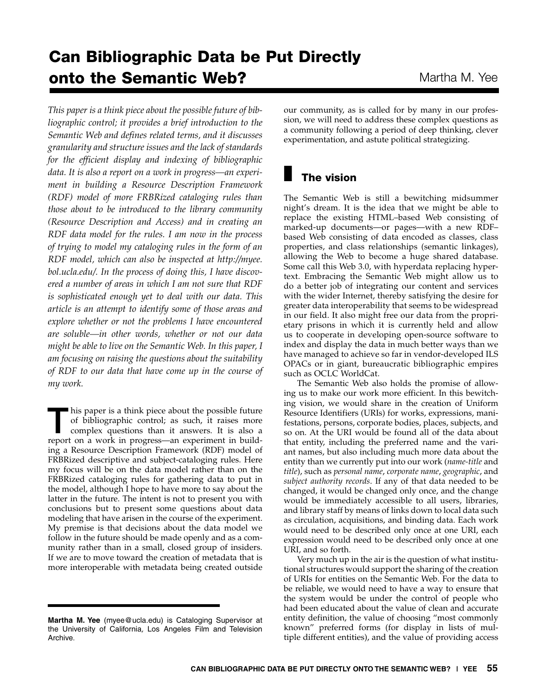# Can Bibliographic Data be Put Directly onto the Semantic Web?

*This paper is a think piece about the possible future of bibliographic control; it provides a brief introduction to the Semantic Web and defines related terms, and it discusses granularity and structure issues and the lack of standards for the efficient display and indexing of bibliographic data. It is also a report on a work in progress—an experiment in building a Resource Description Framework (RDF) model of more FRBRized cataloging rules than those about to be introduced to the library community (Resource Description and Access) and in creating an RDF data model for the rules. I am now in the process of trying to model my cataloging rules in the form of an RDF model, which can also be inspected at http://myee. bol.ucla.edu/. In the process of doing this, I have discovered a number of areas in which I am not sure that RDF is sophisticated enough yet to deal with our data. This article is an attempt to identify some of those areas and explore whether or not the problems I have encountered are soluble—in other words, whether or not our data might be able to live on the Semantic Web. In this paper, I am focusing on raising the questions about the suitability of RDF to our data that have come up in the course of my work.*

 $\blacksquare$  his paper is a think piece about the possible future of bibliographic control; as such, it raises more complex questions than it answers. It is also a report on a work in progress—an experiment in building a Resource Description Framework (RDF) model of FRBRized descriptive and subject-cataloging rules. Here my focus will be on the data model rather than on the FRBRized cataloging rules for gathering data to put in the model, although I hope to have more to say about the latter in the future. The intent is not to present you with conclusions but to present some questions about data modeling that have arisen in the course of the experiment. My premise is that decisions about the data model we follow in the future should be made openly and as a community rather than in a small, closed group of insiders. If we are to move toward the creation of metadata that is more interoperable with metadata being created outside

our community, as is called for by many in our profession, we will need to address these complex questions as a community following a period of deep thinking, clever experimentation, and astute political strategizing.

# The vision

The Semantic Web is still a bewitching midsummer night's dream. It is the idea that we might be able to replace the existing HTML–based Web consisting of marked-up documents—or pages—with a new RDF– based Web consisting of data encoded as classes, class properties, and class relationships (semantic linkages), allowing the Web to become a huge shared database. Some call this Web 3.0, with hyperdata replacing hypertext. Embracing the Semantic Web might allow us to do a better job of integrating our content and services with the wider Internet, thereby satisfying the desire for greater data interoperability that seems to be widespread in our field. It also might free our data from the proprietary prisons in which it is currently held and allow us to cooperate in developing open-source software to index and display the data in much better ways than we have managed to achieve so far in vendor-developed ILS OPACs or in giant, bureaucratic bibliographic empires such as OCLC WorldCat.

The Semantic Web also holds the promise of allowing us to make our work more efficient. In this bewitching vision, we would share in the creation of Uniform Resource Identifiers (URIs) for works, expressions, manifestations, persons, corporate bodies, places, subjects, and so on. At the URI would be found all of the data about that entity, including the preferred name and the variant names, but also including much more data about the entity than we currently put into our work (*name-title* and *title*), such as *personal name*, *corporate name*, *geographic*, and *subject authority records*. If any of that data needed to be changed, it would be changed only once, and the change would be immediately accessible to all users, libraries, and library staff by means of links down to local data such as circulation, acquisitions, and binding data. Each work would need to be described only once at one URI, each expression would need to be described only once at one URI, and so forth.

Very much up in the air is the question of what institutional structures would support the sharing of the creation of URIs for entities on the Semantic Web. For the data to be reliable, we would need to have a way to ensure that the system would be under the control of people who had been educated about the value of clean and accurate entity definition, the value of choosing "most commonly known" preferred forms (for display in lists of multiple different entities), and the value of providing access

**Martha M. Yee** (myee@ucla.edu) is Cataloging Supervisor at the University of California, Los Angeles Film and Television Archive.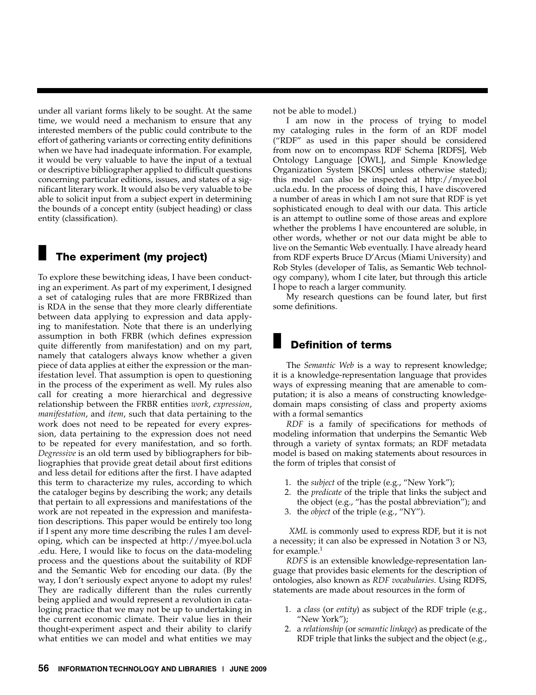under all variant forms likely to be sought. At the same time, we would need a mechanism to ensure that any interested members of the public could contribute to the effort of gathering variants or correcting entity definitions when we have had inadequate information. For example, it would be very valuable to have the input of a textual or descriptive bibliographer applied to difficult questions concerning particular editions, issues, and states of a significant literary work. It would also be very valuable to be able to solicit input from a subject expert in determining the bounds of a concept entity (subject heading) or class entity (classification).

## The experiment (my project)

To explore these bewitching ideas, I have been conducting an experiment. As part of my experiment, I designed a set of cataloging rules that are more FRBRized than is RDA in the sense that they more clearly differentiate between data applying to expression and data applying to manifestation. Note that there is an underlying assumption in both FRBR (which defines expression quite differently from manifestation) and on my part, namely that catalogers always know whether a given piece of data applies at either the expression or the manifestation level. That assumption is open to questioning in the process of the experiment as well. My rules also call for creating a more hierarchical and degressive relationship between the FRBR entities *work*, *expression*, *manifestation*, and *item*, such that data pertaining to the work does not need to be repeated for every expression, data pertaining to the expression does not need to be repeated for every manifestation, and so forth. *Degressive* is an old term used by bibliographers for bibliographies that provide great detail about first editions and less detail for editions after the first. I have adapted this term to characterize my rules, according to which the cataloger begins by describing the work; any details that pertain to all expressions and manifestations of the work are not repeated in the expression and manifestation descriptions. This paper would be entirely too long if I spent any more time describing the rules I am developing, which can be inspected at http://myee.bol.ucla .edu. Here, I would like to focus on the data-modeling process and the questions about the suitability of RDF and the Semantic Web for encoding our data. (By the way, I don't seriously expect anyone to adopt my rules! They are radically different than the rules currently being applied and would represent a revolution in cataloging practice that we may not be up to undertaking in the current economic climate. Their value lies in their thought-experiment aspect and their ability to clarify what entities we can model and what entities we may

not be able to model.)

I am now in the process of trying to model my cataloging rules in the form of an RDF model ("RDF" as used in this paper should be considered from now on to encompass RDF Schema [RDFS], Web Ontology Language [OWL], and Simple Knowledge Organization System [SKOS] unless otherwise stated); this model can also be inspected at http://myee.bol .ucla.edu. In the process of doing this, I have discovered a number of areas in which I am not sure that RDF is yet sophisticated enough to deal with our data. This article is an attempt to outline some of those areas and explore whether the problems I have encountered are soluble, in other words, whether or not our data might be able to live on the Semantic Web eventually. I have already heard from RDF experts Bruce D'Arcus (Miami University) and Rob Styles (developer of Talis, as Semantic Web technology company), whom I cite later, but through this article I hope to reach a larger community.

My research questions can be found later, but first some definitions.

## Definition of terms

The *Semantic Web* is a way to represent knowledge; it is a knowledge-representation language that provides ways of expressing meaning that are amenable to computation; it is also a means of constructing knowledgedomain maps consisting of class and property axioms with a formal semantics

*RDF* is a family of specifications for methods of modeling information that underpins the Semantic Web through a variety of syntax formats; an RDF metadata model is based on making statements about resources in the form of triples that consist of

- 1. the *subject* of the triple (e.g., "New York");
- 2. the *predicate* of the triple that links the subject and the object (e.g., "has the postal abbreviation"); and
- 3. the *object* of the triple (e.g., "NY").

*XML* is commonly used to express RDF, but it is not a necessity; it can also be expressed in Notation 3 or N3, for example.<sup>1</sup>

*RDFS* is an extensible knowledge-representation language that provides basic elements for the description of ontologies, also known as *RDF vocabularies*. Using RDFS, statements are made about resources in the form of

- 1. a *class* (or *entity*) as subject of the RDF triple (e.g., "New York");
- 2. a *relationship* (or *semantic linkage*) as predicate of the RDF triple that links the subject and the object (e.g.,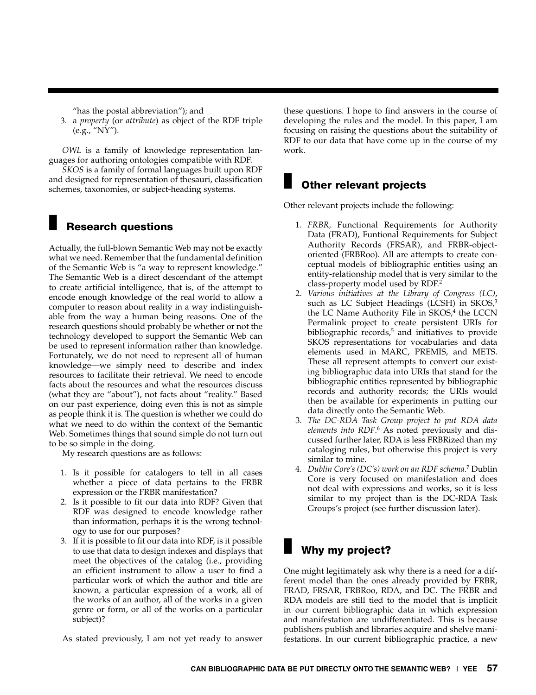"has the postal abbreviation"); and

3. a *property* (or *attribute*) as object of the RDF triple (e.g., "NY").

*OWL* is a family of knowledge representation languages for authoring ontologies compatible with RDF.

*SKOS* is a family of formal languages built upon RDF and designed for representation of thesauri, classification schemes, taxonomies, or subject-heading systems.

**Research questions** 

Actually, the full-blown Semantic Web may not be exactly what we need. Remember that the fundamental definition of the Semantic Web is "a way to represent knowledge." The Semantic Web is a direct descendant of the attempt to create artificial intelligence, that is, of the attempt to encode enough knowledge of the real world to allow a computer to reason about reality in a way indistinguishable from the way a human being reasons. One of the research questions should probably be whether or not the technology developed to support the Semantic Web can be used to represent information rather than knowledge. Fortunately, we do not need to represent all of human knowledge—we simply need to describe and index resources to facilitate their retrieval. We need to encode facts about the resources and what the resources discuss (what they are "about"), not facts about "reality." Based on our past experience, doing even this is not as simple as people think it is. The question is whether we could do what we need to do within the context of the Semantic Web. Sometimes things that sound simple do not turn out to be so simple in the doing.

My research questions are as follows:

- 1. Is it possible for catalogers to tell in all cases whether a piece of data pertains to the FRBR expression or the FRBR manifestation?
- 2. Is it possible to fit our data into RDF? Given that RDF was designed to encode knowledge rather than information, perhaps it is the wrong technology to use for our purposes?
- 3. If it is possible to fit our data into RDF, is it possible to use that data to design indexes and displays that meet the objectives of the catalog (i.e., providing an efficient instrument to allow a user to find a particular work of which the author and title are known, a particular expression of a work, all of the works of an author, all of the works in a given genre or form, or all of the works on a particular subject)?

As stated previously, I am not yet ready to answer

these questions. I hope to find answers in the course of developing the rules and the model. In this paper, I am focusing on raising the questions about the suitability of RDF to our data that have come up in the course of my work.

#### Other relevant projects

Other relevant projects include the following:

- 1. *FRBR,* Functional Requirements for Authority Data (FRAD), Funtional Requirements for Subject Authority Records (FRSAR), and FRBR-objectoriented (FRBRoo). All are attempts to create conceptual models of bibliographic entities using an entity-relationship model that is very similar to the class-property model used by RDF.2
- 2. *Various initiatives at the Library of Congress (LC)*, such as LC Subject Headings (LCSH) in SKOS,<sup>3</sup> the LC Name Authority File in SKOS,<sup>4</sup> the LCCN Permalink project to create persistent URIs for bibliographic records,<sup>5</sup> and initiatives to provide SKOS representations for vocabularies and data elements used in MARC, PREMIS, and METS. These all represent attempts to convert our existing bibliographic data into URIs that stand for the bibliographic entities represented by bibliographic records and authority records; the URIs would then be available for experiments in putting our data directly onto the Semantic Web.
- 3. *The DC-RDA Task Group project to put RDA data*  elements into RDF.<sup>6</sup> As noted previously and discussed further later, RDA is less FRBRized than my cataloging rules, but otherwise this project is very similar to mine.
- 4. *Dublin Core's (DC's) work on an RDF schema*. 7 Dublin Core is very focused on manifestation and does not deal with expressions and works, so it is less similar to my project than is the DC-RDA Task Groups's project (see further discussion later).

# Why my project?

One might legitimately ask why there is a need for a different model than the ones already provided by FRBR, FRAD, FRSAR, FRBRoo, RDA, and DC. The FRBR and RDA models are still tied to the model that is implicit in our current bibliographic data in which expression and manifestation are undifferentiated. This is because publishers publish and libraries acquire and shelve manifestations. In our current bibliographic practice, a new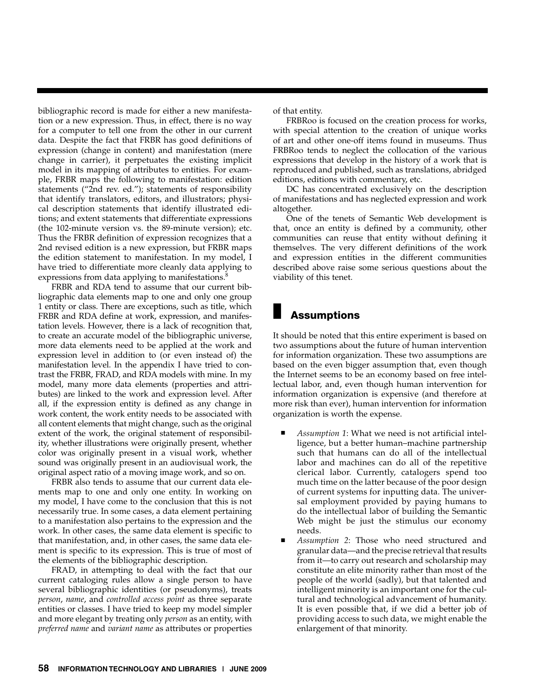bibliographic record is made for either a new manifestation or a new expression. Thus, in effect, there is no way for a computer to tell one from the other in our current data. Despite the fact that FRBR has good definitions of expression (change in content) and manifestation (mere change in carrier), it perpetuates the existing implicit model in its mapping of attributes to entities. For example, FRBR maps the following to manifestation: edition statements ("2nd rev. ed."); statements of responsibility that identify translators, editors, and illustrators; physical description statements that identify illustrated editions; and extent statements that differentiate expressions (the 102-minute version vs. the 89-minute version); etc. Thus the FRBR definition of expression recognizes that a 2nd revised edition is a new expression, but FRBR maps the edition statement to manifestation. In my model, I have tried to differentiate more cleanly data applying to expressions from data applying to manifestations. $\frac{8}{3}$ 

FRBR and RDA tend to assume that our current bibliographic data elements map to one and only one group 1 entity or class. There are exceptions, such as title, which FRBR and RDA define at work, expression, and manifestation levels. However, there is a lack of recognition that, to create an accurate model of the bibliographic universe, more data elements need to be applied at the work and expression level in addition to (or even instead of) the manifestation level. In the appendix I have tried to contrast the FRBR, FRAD, and RDA models with mine. In my model, many more data elements (properties and attributes) are linked to the work and expression level. After all, if the expression entity is defined as any change in work content, the work entity needs to be associated with all content elements that might change, such as the original extent of the work, the original statement of responsibility, whether illustrations were originally present, whether color was originally present in a visual work, whether sound was originally present in an audiovisual work, the original aspect ratio of a moving image work, and so on.

FRBR also tends to assume that our current data elements map to one and only one entity. In working on my model, I have come to the conclusion that this is not necessarily true. In some cases, a data element pertaining to a manifestation also pertains to the expression and the work. In other cases, the same data element is specific to that manifestation, and, in other cases, the same data element is specific to its expression. This is true of most of the elements of the bibliographic description.

FRAD, in attempting to deal with the fact that our current cataloging rules allow a single person to have several bibliographic identities (or pseudonyms), treats *person*, *name*, and *controlled access point* as three separate entities or classes. I have tried to keep my model simpler and more elegant by treating only *person* as an entity, with *preferred name* and *variant name* as attributes or properties of that entity.

FRBRoo is focused on the creation process for works, with special attention to the creation of unique works of art and other one-off items found in museums. Thus FRBRoo tends to neglect the collocation of the various expressions that develop in the history of a work that is reproduced and published, such as translations, abridged editions, editions with commentary, etc.

DC has concentrated exclusively on the description of manifestations and has neglected expression and work altogether.

One of the tenets of Semantic Web development is that, once an entity is defined by a community, other communities can reuse that entity without defining it themselves. The very different definitions of the work and expression entities in the different communities described above raise some serious questions about the viability of this tenet.

# **Assumptions**

It should be noted that this entire experiment is based on two assumptions about the future of human intervention for information organization. These two assumptions are based on the even bigger assumption that, even though the Internet seems to be an economy based on free intellectual labor, and, even though human intervention for information organization is expensive (and therefore at more risk than ever), human intervention for information organization is worth the expense.

- <sup>n</sup> *Assumption 1*: What we need is not artificial intelligence, but a better human–machine partnership such that humans can do all of the intellectual labor and machines can do all of the repetitive clerical labor. Currently, catalogers spend too much time on the latter because of the poor design of current systems for inputting data. The universal employment provided by paying humans to do the intellectual labor of building the Semantic Web might be just the stimulus our economy needs.
- <sup>n</sup> *Assumption 2*: Those who need structured and granular data—and the precise retrieval that results from it—to carry out research and scholarship may constitute an elite minority rather than most of the people of the world (sadly), but that talented and intelligent minority is an important one for the cultural and technological advancement of humanity. It is even possible that, if we did a better job of providing access to such data, we might enable the enlargement of that minority.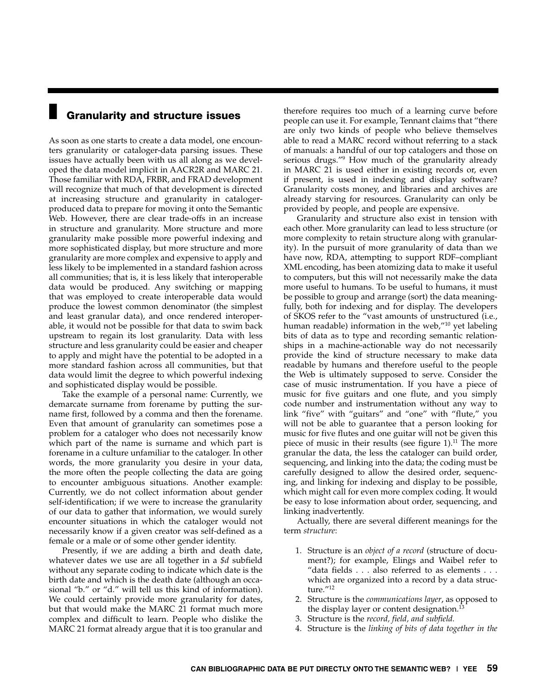# **Granularity and structure issues**

As soon as one starts to create a data model, one encounters granularity or cataloger-data parsing issues. These issues have actually been with us all along as we developed the data model implicit in AACR2R and MARC 21. Those familiar with RDA, FRBR, and FRAD development will recognize that much of that development is directed at increasing structure and granularity in catalogerproduced data to prepare for moving it onto the Semantic Web. However, there are clear trade-offs in an increase in structure and granularity. More structure and more granularity make possible more powerful indexing and more sophisticated display, but more structure and more granularity are more complex and expensive to apply and less likely to be implemented in a standard fashion across all communities; that is, it is less likely that interoperable data would be produced. Any switching or mapping that was employed to create interoperable data would produce the lowest common denominator (the simplest and least granular data), and once rendered interoperable, it would not be possible for that data to swim back upstream to regain its lost granularity. Data with less structure and less granularity could be easier and cheaper to apply and might have the potential to be adopted in a more standard fashion across all communities, but that data would limit the degree to which powerful indexing and sophisticated display would be possible.

Take the example of a personal name: Currently, we demarcate surname from forename by putting the surname first, followed by a comma and then the forename. Even that amount of granularity can sometimes pose a problem for a cataloger who does not necessarily know which part of the name is surname and which part is forename in a culture unfamiliar to the cataloger. In other words, the more granularity you desire in your data, the more often the people collecting the data are going to encounter ambiguous situations. Another example: Currently, we do not collect information about gender self-identification; if we were to increase the granularity of our data to gather that information, we would surely encounter situations in which the cataloger would not necessarily know if a given creator was self-defined as a female or a male or of some other gender identity.

Presently, if we are adding a birth and death date, whatever dates we use are all together in a *\$d* subfield without any separate coding to indicate which date is the birth date and which is the death date (although an occasional "b." or "d." will tell us this kind of information). We could certainly provide more granularity for dates, but that would make the MARC 21 format much more complex and difficult to learn. People who dislike the MARC 21 format already argue that it is too granular and

therefore requires too much of a learning curve before people can use it. For example, Tennant claims that "there are only two kinds of people who believe themselves able to read a MARC record without referring to a stack of manuals: a handful of our top catalogers and those on serious drugs."<sup>9</sup> How much of the granularity already in MARC 21 is used either in existing records or, even if present, is used in indexing and display software? Granularity costs money, and libraries and archives are already starving for resources. Granularity can only be provided by people, and people are expensive.

Granularity and structure also exist in tension with each other. More granularity can lead to less structure (or more complexity to retain structure along with granularity). In the pursuit of more granularity of data than we have now, RDA, attempting to support RDF–compliant XML encoding, has been atomizing data to make it useful to computers, but this will not necessarily make the data more useful to humans. To be useful to humans, it must be possible to group and arrange (sort) the data meaningfully, both for indexing and for display. The developers of SKOS refer to the "vast amounts of unstructured (i.e., human readable) information in the web,"10 yet labeling bits of data as to type and recording semantic relationships in a machine-actionable way do not necessarily provide the kind of structure necessary to make data readable by humans and therefore useful to the people the Web is ultimately supposed to serve. Consider the case of music instrumentation. If you have a piece of music for five guitars and one flute, and you simply code number and instrumentation without any way to link "five" with "guitars" and "one" with "flute," you will not be able to guarantee that a person looking for music for five flutes and one guitar will not be given this piece of music in their results (see figure  $1$ ).<sup>11</sup> The more granular the data, the less the cataloger can build order, sequencing, and linking into the data; the coding must be carefully designed to allow the desired order, sequencing, and linking for indexing and display to be possible, which might call for even more complex coding. It would be easy to lose information about order, sequencing, and linking inadvertently.

Actually, there are several different meanings for the term *structure*:

- 1. Structure is an *object of a record* (structure of document?); for example, Elings and Waibel refer to "data fields . . . also referred to as elements . . . which are organized into a record by a data structure."12
- 2. Structure is the *communications layer*, as opposed to the display layer or content designation.<sup>13</sup>
- 3. Structure is the *record, field, and subfield.*
- 4. Structure is the *linking of bits of data together in the*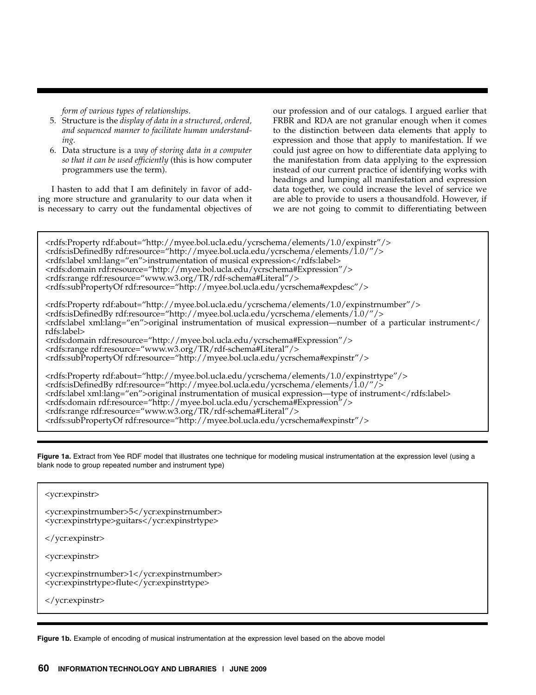*form of various types of relationships*.

- 5. Structure is the *display of data in a structured, ordered, and sequenced manner to facilitate human understanding.*
- 6. Data structure is a *way of storing data in a computer so that it can be used efficiently* (this is how computer programmers use the term).

I hasten to add that I am definitely in favor of adding more structure and granularity to our data when it is necessary to carry out the fundamental objectives of

our profession and of our catalogs. I argued earlier that FRBR and RDA are not granular enough when it comes to the distinction between data elements that apply to expression and those that apply to manifestation. If we could just agree on how to differentiate data applying to the manifestation from data applying to the expression instead of our current practice of identifying works with headings and lumping all manifestation and expression data together, we could increase the level of service we are able to provide to users a thousandfold. However, if we are not going to commit to differentiating between

<rdfs:Property rdf:about="http://myee.bol.ucla.edu/ycrschema/elements/1.0/expinstr"/> <rdfs:isDefinedBy rdf:resource="http://myee.bol.ucla.edu/ycrschema/elements/1.0/"/> <rdfs:label xml:lang="en">instrumentation of musical expression</rdfs:label> <rdfs:domain rdf:resource="http://myee.bol.ucla.edu/ycrschema#Expression"/> <rdfs:range rdf:resource="www.w3.org/TR/rdf-schema#Literal"/> <rdfs:subPropertyOf rdf:resource="http://myee.bol.ucla.edu/ycrschema#expdesc"/> <rdfs:Property rdf:about="http://myee.bol.ucla.edu/ycrschema/elements/1.0/expinstrnumber"/> <rdfs:isDefinedBy rdf:resource="http://myee.bol.ucla.edu/ycrschema/elements/1.0/"/> <rdfs:label xml:lang="en">original instrumentation of musical expression—number of a particular instrument</ rdfs:label> <rdfs:domain rdf:resource="http://myee.bol.ucla.edu/ycrschema#Expression"/> <rdfs:range rdf:resource="www.w3.org/TR/rdf-schema#Literal"/> <rdfs:subPropertyOf rdf:resource="http://myee.bol.ucla.edu/ycrschema#expinstr"/> <rdfs:Property rdf:about="http://myee.bol.ucla.edu/ycrschema/elements/1.0/expinstrtype"/> <rdfs:isDefinedBy rdf:resource="http://myee.bol.ucla.edu/ycrschema/elements/1.0/"/> <rdfs:label xml:lang="en">original instrumentation of musical expression—type of instrument</rdfs:label> <rdfs:domain rdf:resource="http://myee.bol.ucla.edu/ycrschema#Expression"/> <rdfs:range rdf:resource="www.w3.org/TR/rdf-schema#Literal"/> <rdfs:subPropertyOf rdf:resource="http://myee.bol.ucla.edu/ycrschema#expinstr"/>

**Figure 1a.** Extract from Yee RDF model that illustrates one technique for modeling musical instrumentation at the expression level (using a blank node to group repeated number and instrument type)

<ycr:expinstr> <ycr:expinstrnumber>5</ycr:expinstrnumber> <ycr:expinstrtype>guitars</ycr:expinstrtype> </ycr:expinstr> <ycr:expinstr> <ycr:expinstrnumber>1</ycr:expinstrnumber> <ycr:expinstrtype>flute</ycr:expinstrtype> </ycr:expinstr>

**Figure 1b.** Example of encoding of musical instrumentation at the expression level based on the above model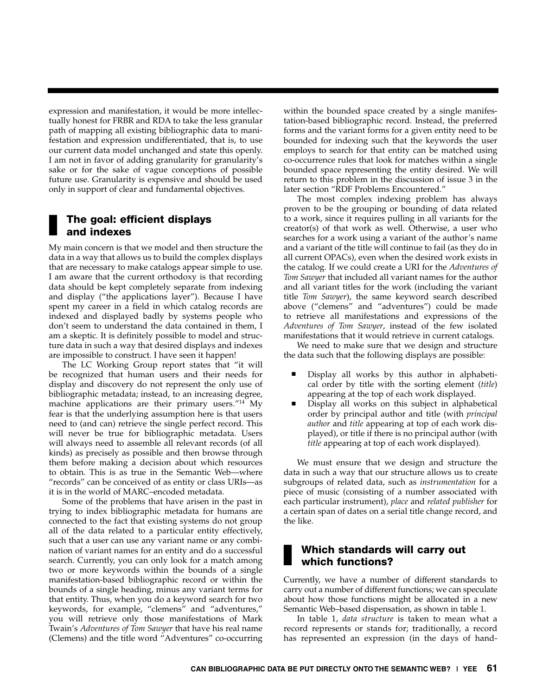expression and manifestation, it would be more intellectually honest for FRBR and RDA to take the less granular path of mapping all existing bibliographic data to manifestation and expression undifferentiated, that is, to use our current data model unchanged and state this openly. I am not in favor of adding granularity for granularity's sake or for the sake of vague conceptions of possible future use. Granularity is expensive and should be used only in support of clear and fundamental objectives.

## The goal: efficient displays and indexes

My main concern is that we model and then structure the data in a way that allows us to build the complex displays that are necessary to make catalogs appear simple to use. I am aware that the current orthodoxy is that recording data should be kept completely separate from indexing and display ("the applications layer"). Because I have spent my career in a field in which catalog records are indexed and displayed badly by systems people who don't seem to understand the data contained in them, I am a skeptic. It is definitely possible to model and structure data in such a way that desired displays and indexes are impossible to construct. I have seen it happen!

The LC Working Group report states that "it will be recognized that human users and their needs for display and discovery do not represent the only use of bibliographic metadata; instead, to an increasing degree, machine applications are their primary users."14 My fear is that the underlying assumption here is that users need to (and can) retrieve the single perfect record. This will never be true for bibliographic metadata. Users will always need to assemble all relevant records (of all kinds) as precisely as possible and then browse through them before making a decision about which resources to obtain. This is as true in the Semantic Web—where "records" can be conceived of as entity or class URIs—as it is in the world of MARC–encoded metadata.

Some of the problems that have arisen in the past in trying to index bibliographic metadata for humans are connected to the fact that existing systems do not group all of the data related to a particular entity effectively, such that a user can use any variant name or any combination of variant names for an entity and do a successful search. Currently, you can only look for a match among two or more keywords within the bounds of a single manifestation-based bibliographic record or within the bounds of a single heading, minus any variant terms for that entity. Thus, when you do a keyword search for two keywords, for example, "clemens" and "adventures," you will retrieve only those manifestations of Mark Twain's *Adventures of Tom Sawyer* that have his real name (Clemens) and the title word "Adventures" co-occurring

within the bounded space created by a single manifestation-based bibliographic record. Instead, the preferred forms and the variant forms for a given entity need to be bounded for indexing such that the keywords the user employs to search for that entity can be matched using co-occurrence rules that look for matches within a single bounded space representing the entity desired. We will return to this problem in the discussion of issue 3 in the later section "RDF Problems Encountered."

The most complex indexing problem has always proven to be the grouping or bounding of data related to a work, since it requires pulling in all variants for the creator(s) of that work as well. Otherwise, a user who searches for a work using a variant of the author's name and a variant of the title will continue to fail (as they do in all current OPACs), even when the desired work exists in the catalog. If we could create a URI for the *Adventures of Tom Sawyer* that included all variant names for the author and all variant titles for the work (including the variant title *Tom Sawyer*), the same keyword search described above ("clemens" and "adventures") could be made to retrieve all manifestations and expressions of the *Adventures of Tom Sawyer*, instead of the few isolated manifestations that it would retrieve in current catalogs.

We need to make sure that we design and structure the data such that the following displays are possible:

- Display all works by this author in alphabetical order by title with the sorting element (*title*) appearing at the top of each work displayed.
- Display all works on this subject in alphabetical order by principal author and title (with *principal author* and *title* appearing at top of each work displayed), or title if there is no principal author (with *title* appearing at top of each work displayed).

We must ensure that we design and structure the data in such a way that our structure allows us to create subgroups of related data, such as *instrumentation* for a piece of music (consisting of a number associated with each particular instrument), *place* and *related publisher* for a certain span of dates on a serial title change record, and the like.

#### Which standards will carry out which functions?

Currently, we have a number of different standards to carry out a number of different functions; we can speculate about how those functions might be allocated in a new Semantic Web–based dispensation, as shown in table 1.

In table 1, *data structure* is taken to mean what a record represents or stands for; traditionally, a record has represented an expression (in the days of hand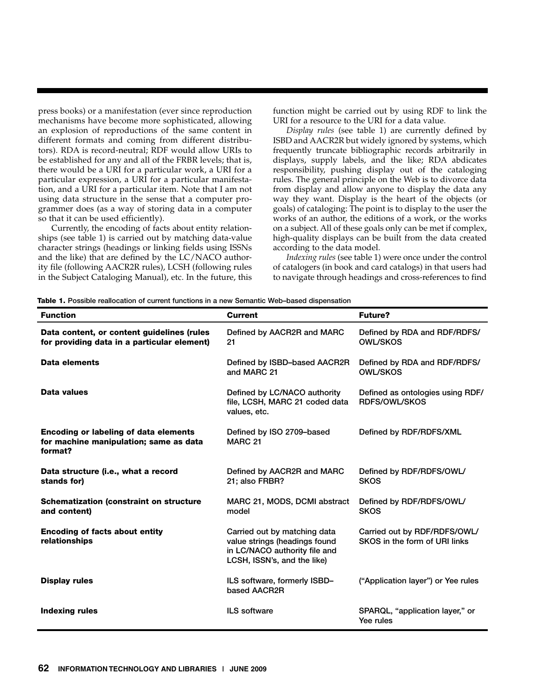press books) or a manifestation (ever since reproduction mechanisms have become more sophisticated, allowing an explosion of reproductions of the same content in different formats and coming from different distributors). RDA is record-neutral; RDF would allow URIs to be established for any and all of the FRBR levels; that is, there would be a URI for a particular work, a URI for a particular expression, a URI for a particular manifestation, and a URI for a particular item. Note that I am not using data structure in the sense that a computer programmer does (as a way of storing data in a computer so that it can be used efficiently).

Currently, the encoding of facts about entity relationships (see table 1) is carried out by matching data-value character strings (headings or linking fields using ISSNs and the like) that are defined by the LC/NACO authority file (following AACR2R rules), LCSH (following rules in the Subject Cataloging Manual), etc. In the future, this function might be carried out by using RDF to link the URI for a resource to the URI for a data value.

*Display rules* (see table 1) are currently defined by ISBD and AACR2R but widely ignored by systems, which frequently truncate bibliographic records arbitrarily in displays, supply labels, and the like; RDA abdicates responsibility, pushing display out of the cataloging rules. The general principle on the Web is to divorce data from display and allow anyone to display the data any way they want. Display is the heart of the objects (or goals) of cataloging: The point is to display to the user the works of an author, the editions of a work, or the works on a subject. All of these goals only can be met if complex, high-quality displays can be built from the data created according to the data model.

*Indexing rules* (see table 1) were once under the control of catalogers (in book and card catalogs) in that users had to navigate through headings and cross-references to find

Table 1. Possible reallocation of current functions in a new Semantic Web–based dispensation

| <b>Function</b>                                                                                   | <b>Current</b>                                                                                                                | Future?                                                       |  |
|---------------------------------------------------------------------------------------------------|-------------------------------------------------------------------------------------------------------------------------------|---------------------------------------------------------------|--|
| Data content, or content guidelines (rules<br>for providing data in a particular element)         | Defined by AACR2R and MARC<br>21                                                                                              | Defined by RDA and RDF/RDFS/<br><b>OWL/SKOS</b>               |  |
| Data elements                                                                                     | Defined by ISBD-based AACR2R<br>and MARC 21                                                                                   | Defined by RDA and RDF/RDFS/<br><b>OWL/SKOS</b>               |  |
| Data values                                                                                       | Defined by LC/NACO authority<br>file, LCSH, MARC 21 coded data<br>values, etc.                                                | Defined as ontologies using RDF/<br><b>RDFS/OWL/SKOS</b>      |  |
| <b>Encoding or labeling of data elements</b><br>for machine manipulation; same as data<br>format? | Defined by ISO 2709-based<br><b>MARC 21</b>                                                                                   | Defined by RDF/RDFS/XML                                       |  |
| Data structure (i.e., what a record<br>stands for)                                                | Defined by AACR2R and MARC<br>21; also FRBR?                                                                                  | Defined by RDF/RDFS/OWL/<br><b>SKOS</b>                       |  |
| <b>Schematization (constraint on structure</b><br>and content)                                    | MARC 21, MODS, DCMI abstract<br>model                                                                                         | Defined by RDF/RDFS/OWL/<br><b>SKOS</b>                       |  |
| <b>Encoding of facts about entity</b><br>relationships                                            | Carried out by matching data<br>value strings (headings found<br>in LC/NACO authority file and<br>LCSH, ISSN's, and the like) | Carried out by RDF/RDFS/OWL/<br>SKOS in the form of URI links |  |
| <b>Display rules</b>                                                                              | ILS software, formerly ISBD-<br>based AACR2R                                                                                  | ("Application layer") or Yee rules                            |  |
| <b>Indexing rules</b>                                                                             | <b>ILS</b> software                                                                                                           | SPARQL, "application layer," or<br>Yee rules                  |  |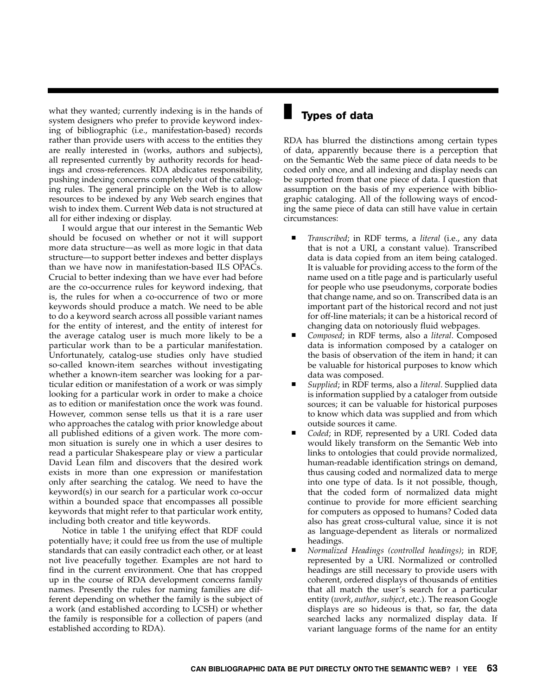what they wanted; currently indexing is in the hands of system designers who prefer to provide keyword indexing of bibliographic (i.e., manifestation-based) records rather than provide users with access to the entities they are really interested in (works, authors and subjects), all represented currently by authority records for headings and cross-references. RDA abdicates responsibility, pushing indexing concerns completely out of the cataloging rules. The general principle on the Web is to allow resources to be indexed by any Web search engines that wish to index them. Current Web data is not structured at all for either indexing or display.

I would argue that our interest in the Semantic Web should be focused on whether or not it will support more data structure—as well as more logic in that data structure—to support better indexes and better displays than we have now in manifestation-based ILS OPACs. Crucial to better indexing than we have ever had before are the co-occurrence rules for keyword indexing, that is, the rules for when a co-occurrence of two or more keywords should produce a match. We need to be able to do a keyword search across all possible variant names for the entity of interest, and the entity of interest for the average catalog user is much more likely to be a particular work than to be a particular manifestation. Unfortunately, catalog-use studies only have studied so-called known-item searches without investigating whether a known-item searcher was looking for a particular edition or manifestation of a work or was simply looking for a particular work in order to make a choice as to edition or manifestation once the work was found. However, common sense tells us that it is a rare user who approaches the catalog with prior knowledge about all published editions of a given work. The more common situation is surely one in which a user desires to read a particular Shakespeare play or view a particular David Lean film and discovers that the desired work exists in more than one expression or manifestation only after searching the catalog. We need to have the keyword(s) in our search for a particular work co-occur within a bounded space that encompasses all possible keywords that might refer to that particular work entity, including both creator and title keywords.

Notice in table 1 the unifying effect that RDF could potentially have; it could free us from the use of multiple standards that can easily contradict each other, or at least not live peacefully together. Examples are not hard to find in the current environment. One that has cropped up in the course of RDA development concerns family names. Presently the rules for naming families are different depending on whether the family is the subject of a work (and established according to LCSH) or whether the family is responsible for a collection of papers (and established according to RDA).

# **Types of data**

RDA has blurred the distinctions among certain types of data, apparently because there is a perception that on the Semantic Web the same piece of data needs to be coded only once, and all indexing and display needs can be supported from that one piece of data. I question that assumption on the basis of my experience with bibliographic cataloging. All of the following ways of encoding the same piece of data can still have value in certain circumstances:

- <sup>n</sup> *Transcribed*; in RDF terms, a *literal* (i.e., any data that is not a URI, a constant value). Transcribed data is data copied from an item being cataloged. It is valuable for providing access to the form of the name used on a title page and is particularly useful for people who use pseudonyms, corporate bodies that change name, and so on. Transcribed data is an important part of the historical record and not just for off-line materials; it can be a historical record of changing data on notoriously fluid webpages.
- <sup>n</sup> *Composed*; in RDF terms, also a *literal*. Composed data is information composed by a cataloger on the basis of observation of the item in hand; it can be valuable for historical purposes to know which data was composed.
- <sup>n</sup> *Supplied*; in RDF terms, also a *literal*. Supplied data is information supplied by a cataloger from outside sources; it can be valuable for historical purposes to know which data was supplied and from which outside sources it came.
- Coded; in RDF, represented by a URI. Coded data would likely transform on the Semantic Web into links to ontologies that could provide normalized, human-readable identification strings on demand, thus causing coded and normalized data to merge into one type of data. Is it not possible, though, that the coded form of normalized data might continue to provide for more efficient searching for computers as opposed to humans? Coded data also has great cross-cultural value, since it is not as language-dependent as literals or normalized headings.
- <sup>n</sup> *Normalized Headings (controlled headings)*; in RDF, represented by a URI. Normalized or controlled headings are still necessary to provide users with coherent, ordered displays of thousands of entities that all match the user's search for a particular entity (*work*, *author*, *subject*, etc.). The reason Google displays are so hideous is that, so far, the data searched lacks any normalized display data. If variant language forms of the name for an entity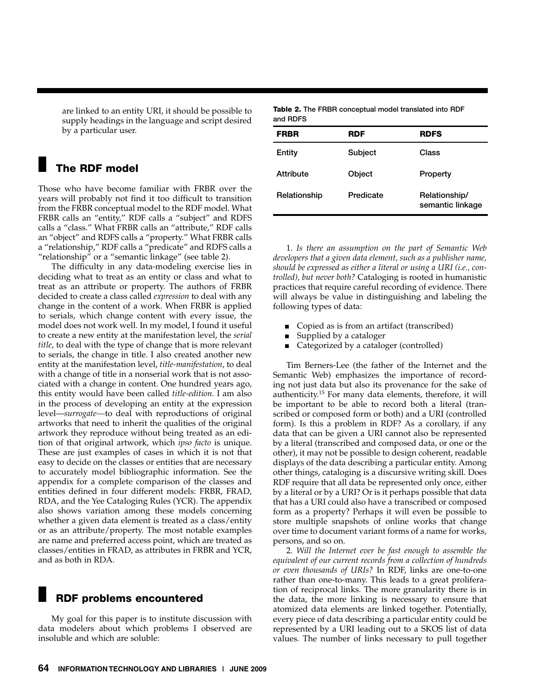are linked to an entity URI, it should be possible to supply headings in the language and script desired by a particular user.

# The RDF model

Those who have become familiar with FRBR over the years will probably not find it too difficult to transition from the FRBR conceptual model to the RDF model. What FRBR calls an "entity," RDF calls a "subject" and RDFS calls a "class." What FRBR calls an "attribute," RDF calls an "object" and RDFS calls a "property." What FRBR calls a "relationship," RDF calls a "predicate" and RDFS calls a "relationship" or a "semantic linkage" (see table 2).

The difficulty in any data-modeling exercise lies in deciding what to treat as an entity or class and what to treat as an attribute or property. The authors of FRBR decided to create a class called *expression* to deal with any change in the content of a work. When FRBR is applied to serials, which change content with every issue, the model does not work well. In my model, I found it useful to create a new entity at the manifestation level, the *serial title*, to deal with the type of change that is more relevant to serials, the change in title. I also created another new entity at the manifestation level, *title-manifestation*, to deal with a change of title in a nonserial work that is not associated with a change in content. One hundred years ago, this entity would have been called *title-edition*. I am also in the process of developing an entity at the expression level—*surrogate—*to deal with reproductions of original artworks that need to inherit the qualities of the original artwork they reproduce without being treated as an edition of that original artwork, which *ipso facto* is unique. These are just examples of cases in which it is not that easy to decide on the classes or entities that are necessary to accurately model bibliographic information. See the appendix for a complete comparison of the classes and entities defined in four different models: FRBR, FRAD, RDA, and the Yee Cataloging Rules (YCR). The appendix also shows variation among these models concerning whether a given data element is treated as a class/entity or as an attribute/property. The most notable examples are name and preferred access point, which are treated as classes/entities in FRAD, as attributes in FRBR and YCR, and as both in RDA.

#### RDF problems encountered

My goal for this paper is to institute discussion with data modelers about which problems I observed are insoluble and which are soluble:

Table 2. The FRBR conceptual model translated into RDF and RDFS

| <b>FRBR</b>  | RDF       | <b>RDFS</b>                       |
|--------------|-----------|-----------------------------------|
| Entity       | Subject   | Class                             |
| Attribute    | Object    | Property                          |
| Relationship | Predicate | Relationship/<br>semantic linkage |

1. *Is there an assumption on the part of Semantic Web developers that a given data element, such as a publisher name, should be expressed as either a literal or using a URI (i.e., controlled), but never both?* Cataloging is rooted in humanistic practices that require careful recording of evidence. There will always be value in distinguishing and labeling the following types of data:

- Copied as is from an artifact (transcribed)
- Supplied by a cataloger
- Categorized by a cataloger (controlled)

Tim Berners-Lee (the father of the Internet and the Semantic Web) emphasizes the importance of recording not just data but also its provenance for the sake of authenticity.15 For many data elements, therefore, it will be important to be able to record both a literal (transcribed or composed form or both) and a URI (controlled form). Is this a problem in RDF? As a corollary, if any data that can be given a URI cannot also be represented by a literal (transcribed and composed data, or one or the other), it may not be possible to design coherent, readable displays of the data describing a particular entity. Among other things, cataloging is a discursive writing skill. Does RDF require that all data be represented only once, either by a literal or by a URI? Or is it perhaps possible that data that has a URI could also have a transcribed or composed form as a property? Perhaps it will even be possible to store multiple snapshots of online works that change over time to document variant forms of a name for works, persons, and so on.

2. *Will the Internet ever be fast enough to assemble the equivalent of our current records from a collection of hundreds or even thousands of URIs?* In RDF, links are one-to-one rather than one-to-many. This leads to a great proliferation of reciprocal links. The more granularity there is in the data, the more linking is necessary to ensure that atomized data elements are linked together. Potentially, every piece of data describing a particular entity could be represented by a URI leading out to a SKOS list of data values. The number of links necessary to pull together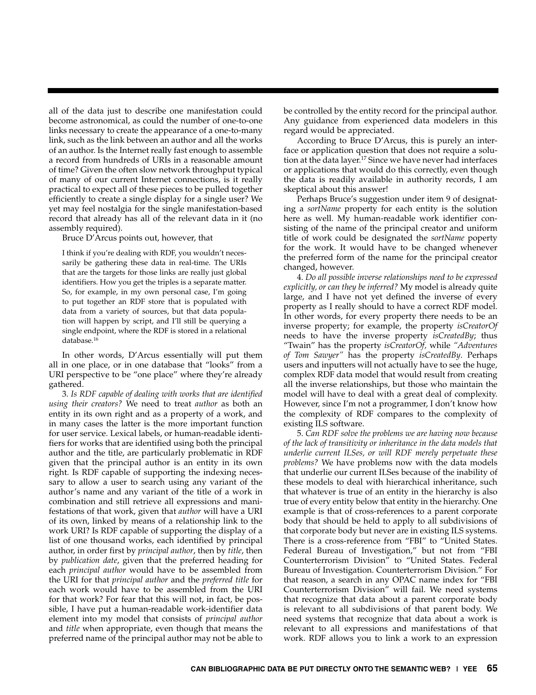all of the data just to describe one manifestation could become astronomical, as could the number of one-to-one links necessary to create the appearance of a one-to-many link, such as the link between an author and all the works of an author. Is the Internet really fast enough to assemble a record from hundreds of URIs in a reasonable amount of time? Given the often slow network throughput typical of many of our current Internet connections, is it really practical to expect all of these pieces to be pulled together efficiently to create a single display for a single user? We yet may feel nostalgia for the single manifestation-based record that already has all of the relevant data in it (no assembly required).

Bruce D'Arcus points out, however, that

I think if you're dealing with RDF, you wouldn't necessarily be gathering these data in real-time. The URIs that are the targets for those links are really just global identifiers. How you get the triples is a separate matter. So, for example, in my own personal case, I'm going to put together an RDF store that is populated with data from a variety of sources, but that data population will happen by script, and I'll still be querying a single endpoint, where the RDF is stored in a relational database.<sup>16</sup>

In other words, D'Arcus essentially will put them all in one place, or in one database that "looks" from a URI perspective to be "one place" where they're already gathered.

3. *Is RDF capable of dealing with works that are identified using their creators?* We need to treat *author* as both an entity in its own right and as a property of a work, and in many cases the latter is the more important function for user service. Lexical labels, or human-readable identifiers for works that are identified using both the principal author and the title, are particularly problematic in RDF given that the principal author is an entity in its own right. Is RDF capable of supporting the indexing necessary to allow a user to search using any variant of the author's name and any variant of the title of a work in combination and still retrieve all expressions and manifestations of that work, given that *author* will have a URI of its own, linked by means of a relationship link to the work URI? Is RDF capable of supporting the display of a list of one thousand works, each identified by principal author, in order first by *principal author*, then by *title*, then by *publication date*, given that the preferred heading for each *principal author* would have to be assembled from the URI for that *principal author* and the *preferred title* for each work would have to be assembled from the URI for that work? For fear that this will not, in fact, be possible, I have put a human-readable work-identifier data element into my model that consists of *principal author* and *title* when appropriate, even though that means the preferred name of the principal author may not be able to

be controlled by the entity record for the principal author. Any guidance from experienced data modelers in this regard would be appreciated.

According to Bruce D'Arcus, this is purely an interface or application question that does not require a solution at the data layer.<sup>17</sup> Since we have never had interfaces or applications that would do this correctly, even though the data is readily available in authority records, I am skeptical about this answer!

Perhaps Bruce's suggestion under item 9 of designating a *sortName* property for each entity is the solution here as well. My human-readable work identifier consisting of the name of the principal creator and uniform title of work could be designated the *sortName* poperty for the work. It would have to be changed whenever the preferred form of the name for the principal creator changed, however.

4. *Do all possible inverse relationships need to be expressed explicitly, or can they be inferred?* My model is already quite large, and I have not yet defined the inverse of every property as I really should to have a correct RDF model. In other words, for every property there needs to be an inverse property; for example, the property *isCreatorOf* needs to have the inverse property *isCreatedBy*; thus "Twain" has the property *isCreatorOf,* while *"Adventures of Tom Sawyer"* has the property *isCreatedBy*. Perhaps users and inputters will not actually have to see the huge, complex RDF data model that would result from creating all the inverse relationships, but those who maintain the model will have to deal with a great deal of complexity. However, since I'm not a programmer, I don't know how the complexity of RDF compares to the complexity of existing ILS software.

5. *Can RDF solve the problems we are having now because of the lack of transitivity or inheritance in the data models that underlie current ILSes, or will RDF merely perpetuate these problems?* We have problems now with the data models that underlie our current ILSes because of the inability of these models to deal with hierarchical inheritance, such that whatever is true of an entity in the hierarchy is also true of every entity below that entity in the hierarchy. One example is that of cross-references to a parent corporate body that should be held to apply to all subdivisions of that corporate body but never are in existing ILS systems. There is a cross-reference from "FBI" to "United States. Federal Bureau of Investigation," but not from "FBI Counterterrorism Division" to "United States. Federal Bureau of Investigation. Counterterrorism Division." For that reason, a search in any OPAC name index for "FBI Counterterrorism Division" will fail. We need systems that recognize that data about a parent corporate body is relevant to all subdivisions of that parent body. We need systems that recognize that data about a work is relevant to all expressions and manifestations of that work. RDF allows you to link a work to an expression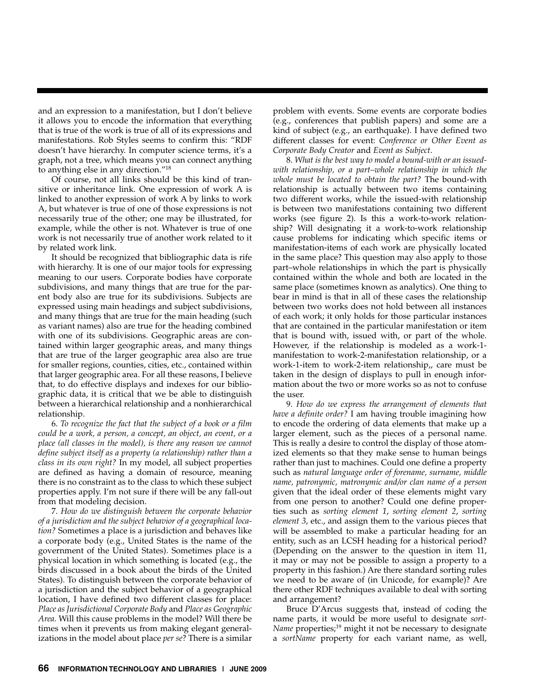and an expression to a manifestation, but I don't believe it allows you to encode the information that everything that is true of the work is true of all of its expressions and manifestations. Rob Styles seems to confirm this: "RDF doesn't have hierarchy. In computer science terms, it's a graph, not a tree, which means you can connect anything to anything else in any direction."18

Of course, not all links should be this kind of transitive or inheritance link. One expression of work A is linked to another expression of work A by links to work A, but whatever is true of one of those expressions is not necessarily true of the other; one may be illustrated, for example, while the other is not. Whatever is true of one work is not necessarily true of another work related to it by related work link.

It should be recognized that bibliographic data is rife with hierarchy. It is one of our major tools for expressing meaning to our users. Corporate bodies have corporate subdivisions, and many things that are true for the parent body also are true for its subdivisions. Subjects are expressed using main headings and subject subdivisions, and many things that are true for the main heading (such as variant names) also are true for the heading combined with one of its subdivisions. Geographic areas are contained within larger geographic areas, and many things that are true of the larger geographic area also are true for smaller regions, counties, cities, etc., contained within that larger geographic area. For all these reasons, I believe that, to do effective displays and indexes for our bibliographic data, it is critical that we be able to distinguish between a hierarchical relationship and a nonhierarchical relationship.

6. *To recognize the fact that the subject of a book or a film could be a work, a person, a concept, an object, an event, or a place (all classes in the model), is there any reason we cannot define subject itself as a property (a relationship) rather than a class in its own right?* In my model, all subject properties are defined as having a domain of resource, meaning there is no constraint as to the class to which these subject properties apply. I'm not sure if there will be any fall-out from that modeling decision.

7. *How do we distinguish between the corporate behavior of a jurisdiction and the subject behavior of a geographical location?* Sometimes a place is a jurisdiction and behaves like a corporate body (e.g., United States is the name of the government of the United States). Sometimes place is a physical location in which something is located (e.g., the birds discussed in a book about the birds of the United States). To distinguish between the corporate behavior of a jurisdiction and the subject behavior of a geographical location, I have defined two different classes for place: *Place as Jurisdictional Corporate Body* and *Place as Geographic Area*. Will this cause problems in the model? Will there be times when it prevents us from making elegant generalizations in the model about place *per se*? There is a similar

problem with events. Some events are corporate bodies (e.g., conferences that publish papers) and some are a kind of subject (e.g., an earthquake). I have defined two different classes for event: *Conference or Other Event as Corporate Body Creator* and *Event as Subject*.

8. *What is the best way to model a bound-with or an issuedwith relationship, or a part–whole relationship in which the whole must be located to obtain the part?* The bound-with relationship is actually between two items containing two different works, while the issued-with relationship is between two manifestations containing two different works (see figure 2). Is this a work-to-work relationship? Will designating it a work-to-work relationship cause problems for indicating which specific items or manifestation-items of each work are physically located in the same place? This question may also apply to those part–whole relationships in which the part is physically contained within the whole and both are located in the same place (sometimes known as analytics). One thing to bear in mind is that in all of these cases the relationship between two works does not hold between all instances of each work; it only holds for those particular instances that are contained in the particular manifestation or item that is bound with, issued with, or part of the whole. However, if the relationship is modeled as a work-1 manifestation to work-2-manifestation relationship, or a work-1-item to work-2-item relationship,, care must be taken in the design of displays to pull in enough information about the two or more works so as not to confuse the user.

9. *How do we express the arrangement of elements that have a definite order?* I am having trouble imagining how to encode the ordering of data elements that make up a larger element, such as the pieces of a personal name. This is really a desire to control the display of those atomized elements so that they make sense to human beings rather than just to machines. Could one define a property such as *natural language order of forename, surname, middle name, patronymic, matronymic and/or clan name of a person* given that the ideal order of these elements might vary from one person to another? Could one define properties such as *sorting element 1*, *sorting element 2*, *sorting element 3*, etc., and assign them to the various pieces that will be assembled to make a particular heading for an entity, such as an LCSH heading for a historical period? (Depending on the answer to the question in item 11, it may or may not be possible to assign a property to a property in this fashion.) Are there standard sorting rules we need to be aware of (in Unicode, for example)? Are there other RDF techniques available to deal with sorting and arrangement?

Bruce D'Arcus suggests that, instead of coding the name parts, it would be more useful to designate *sort-Name* properties;<sup>19</sup> might it not be necessary to designate a *sortName* property for each variant name, as well,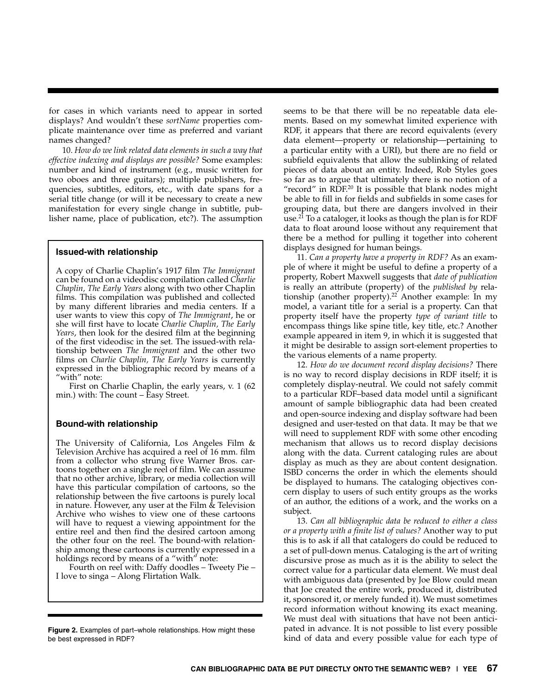for cases in which variants need to appear in sorted displays? And wouldn't these *sortName* properties complicate maintenance over time as preferred and variant names changed?

10. *How do we link related data elements in such a way that effective indexing and displays are possible?* Some examples: number and kind of instrument (e.g., music written for two oboes and three guitars); multiple publishers, frequencies, subtitles, editors, etc., with date spans for a serial title change (or will it be necessary to create a new manifestation for every single change in subtitle, publisher name, place of publication, etc?). The assumption

#### **Issued-with relationship**

A copy of Charlie Chaplin's 1917 film *The Immigrant* can be found on a videodisc compilation called *Charlie Chaplin, The Early Years* along with two other Chaplin films. This compilation was published and collected by many different libraries and media centers. If a user wants to view this copy of *The Immigrant*, he or she will first have to locate *Charlie Chaplin, The Early Years*, then look for the desired film at the beginning of the first videodisc in the set. The issued-with relationship between *The Immigrant* and the other two films on *Charlie Chaplin, The Early Years* is currently expressed in the bibliographic record by means of a 'with" note:

First on Charlie Chaplin, the early years, v. 1 (62 min.) with: The count – Easy Street.

#### **Bound-with relationship**

The University of California, Los Angeles Film & Television Archive has acquired a reel of 16 mm. film from a collector who strung five Warner Bros. cartoons together on a single reel of film. We can assume that no other archive, library, or media collection will have this particular compilation of cartoons, so the relationship between the five cartoons is purely local in nature. However, any user at the Film  $\&$  Television Archive who wishes to view one of these cartoons will have to request a viewing appointment for the entire reel and then find the desired cartoon among the other four on the reel. The bound-with relationship among these cartoons is currently expressed in a holdings record by means of a "with" note:

Fourth on reel with: Daffy doodles – Tweety Pie – I love to singa – Along Flirtation Walk.

**Figure 2.** Examples of part–whole relationships. How might these be best expressed in RDF?

seems to be that there will be no repeatable data elements. Based on my somewhat limited experience with RDF, it appears that there are record equivalents (every data element—property or relationship—pertaining to a particular entity with a URI), but there are no field or subfield equivalents that allow the sublinking of related pieces of data about an entity. Indeed, Rob Styles goes so far as to argue that ultimately there is no notion of a "record" in  $RDF<sup>20</sup>$  It is possible that blank nodes might be able to fill in for fields and subfields in some cases for grouping data, but there are dangers involved in their use.<sup>21</sup> To a cataloger, it looks as though the plan is for RDF data to float around loose without any requirement that there be a method for pulling it together into coherent displays designed for human beings.

11. *Can a property have a property in RDF?* As an example of where it might be useful to define a property of a property, Robert Maxwell suggests that *date of publication* is really an attribute (property) of the *published by* relationship (another property).<sup>22</sup> Another example: In my model, a variant title for a serial is a property. Can that property itself have the property *type of variant title* to encompass things like spine title, key title, etc.? Another example appeared in item 9, in which it is suggested that it might be desirable to assign sort-element properties to the various elements of a name property.

12. *How do we document record display decisions?* There is no way to record display decisions in RDF itself; it is completely display-neutral. We could not safely commit to a particular RDF–based data model until a significant amount of sample bibliographic data had been created and open-source indexing and display software had been designed and user-tested on that data. It may be that we will need to supplement RDF with some other encoding mechanism that allows us to record display decisions along with the data. Current cataloging rules are about display as much as they are about content designation. ISBD concerns the order in which the elements should be displayed to humans. The cataloging objectives concern display to users of such entity groups as the works of an author, the editions of a work, and the works on a subject.

13. *Can all bibliographic data be reduced to either a class or a property with a finite list of values?* Another way to put this is to ask if all that catalogers do could be reduced to a set of pull-down menus. Cataloging is the art of writing discursive prose as much as it is the ability to select the correct value for a particular data element. We must deal with ambiguous data (presented by Joe Blow could mean that Joe created the entire work, produced it, distributed it, sponsored it, or merely funded it). We must sometimes record information without knowing its exact meaning. We must deal with situations that have not been anticipated in advance. It is not possible to list every possible kind of data and every possible value for each type of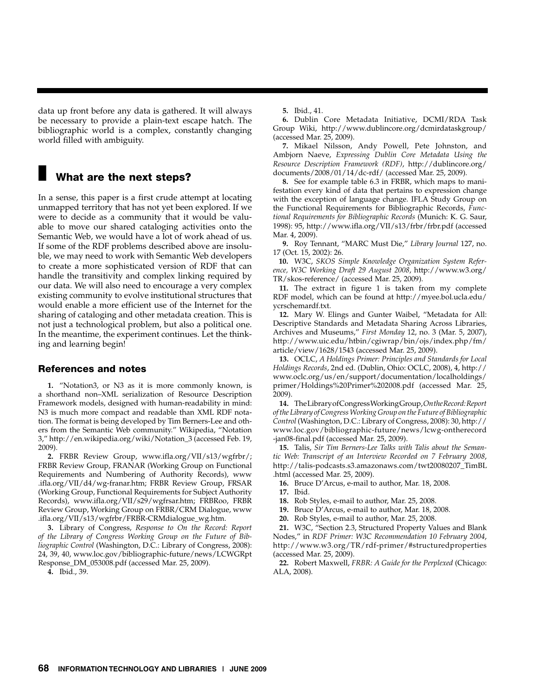data up front before any data is gathered. It will always be necessary to provide a plain-text escape hatch. The bibliographic world is a complex, constantly changing world filled with ambiguity.

#### What are the next steps?

In a sense, this paper is a first crude attempt at locating unmapped territory that has not yet been explored. If we were to decide as a community that it would be valuable to move our shared cataloging activities onto the Semantic Web, we would have a lot of work ahead of us. If some of the RDF problems described above are insoluble, we may need to work with Semantic Web developers to create a more sophisticated version of RDF that can handle the transitivity and complex linking required by our data. We will also need to encourage a very complex existing community to evolve institutional structures that would enable a more efficient use of the Internet for the sharing of cataloging and other metadata creation. This is not just a technological problem, but also a political one. In the meantime, the experiment continues. Let the thinking and learning begin!

#### References and notes

**1.** "Notation3, or N3 as it is more commonly known, is a shorthand non–XML serialization of Resource Description Framework models, designed with human-readability in mind: N3 is much more compact and readable than XML RDF notation. The format is being developed by Tim Berners-Lee and others from the Semantic Web community." Wikipedia, "Notation 3," http://en.wikipedia.org/wiki/Notation\_3 (accessed Feb. 19, 2009).

**2.** FRBR Review Group, www.ifla.org/VII/s13/wgfrbr/; FRBR Review Group, FRANAR (Working Group on Functional Requirements and Numbering of Authority Records), www .ifla.org/VII/d4/wg-franar.htm; FRBR Review Group, FRSAR (Working Group, Functional Requirements for Subject Authority Records), www.ifla.org/VII/s29/wgfrsar.htm; FRBRoo, FRBR Review Group, Working Group on FRBR/CRM Dialogue, www .ifla.org/VII/s13/wgfrbr/FRBR-CRMdialogue\_wg.htm.

**3.** Library of Congress, *Response to On the Record: Report of the Library of Congress Working Group on the Future of Bibliographic Control* (Washington, D.C.: Library of Congress, 2008): 24, 39, 40, www.loc.gov/bibliographic-future/news/LCWGRpt Response\_DM\_053008.pdf (accessed Mar. 25, 2009).

**4.** Ibid., 39.

**5.** Ibid., 41.

**6.** Dublin Core Metadata Initiative, DCMI/RDA Task Group Wiki, http://www.dublincore.org/dcmirdataskgroup/ (accessed Mar. 25, 2009).

**7.** Mikael Nilsson, Andy Powell, Pete Johnston, and Ambjorn Naeve, *Expressing Dublin Core Metadata Using the Resource Description Framework (RDF)*, http://dublincore.org/ documents/2008/01/14/dc-rdf/ (accessed Mar. 25, 2009).

**8.** See for example table 6.3 in FRBR, which maps to manifestation every kind of data that pertains to expression change with the exception of language change. IFLA Study Group on the Functional Requirements for Bibliographic Records, *Functional Requirements for Bibliographic Records* (Munich: K. G. Saur, 1998): 95, http://www.ifla.org/VII/s13/frbr/frbr.pdf (accessed Mar. 4, 2009).

**9.** Roy Tennant, "MARC Must Die," *Library Journal* 127, no. 17 (Oct. 15, 2002): 26.

**10.** W3C, *SKOS Simple Knowledge Organization System Reference, W3C Working Draft 29 August 2008*, http://www.w3.org/ TR/skos-reference/ (accessed Mar. 25, 2009).

**11.** The extract in figure 1 is taken from my complete RDF model, which can be found at http://myee.bol.ucla.edu/ ycrschemardf.txt.

**12.** Mary W. Elings and Gunter Waibel, "Metadata for All: Descriptive Standards and Metadata Sharing Across Libraries, Archives and Museums," *First Monday* 12, no. 3 (Mar. 5, 2007), http://www.uic.edu/htbin/cgiwrap/bin/ojs/index.php/fm/ article/view/1628/1543 (accessed Mar. 25, 2009).

**13.** OCLC, *A Holdings Primer: Principles and Standards for Local Holdings Records*, 2nd ed. (Dublin, Ohio: OCLC, 2008), 4, http:// www.oclc.org/us/en/support/documentation/localholdings/ primer/Holdings%20Primer%202008.pdf (accessed Mar. 25, 2009).

**14.** The Library of Congress Working Group, *On the Record: Report of the Library of Congress Working Group on the Future of Bibliographic Control* (Washington, D.C.: Library of Congress, 2008): 30, http:// www.loc.gov/bibliographic-future/news/lcwg-ontherecord -jan08-final.pdf (accessed Mar. 25, 2009).

**15.** Talis, *Sir Tim Berners-Lee Talks with Talis about the Semantic Web: Transcript of an Interview Recorded on 7 February 2008*, http://talis-podcasts.s3.amazonaws.com/twt20080207\_TimBL .html (accessed Mar. 25, 2009).

**16.** Bruce D'Arcus, e-mail to author, Mar. 18, 2008.

**17.** Ibid.

**18.** Rob Styles, e-mail to author, Mar. 25, 2008.

**19.** Bruce D'Arcus, e-mail to author, Mar. 18, 2008.

**20.** Rob Styles, e-mail to author, Mar. 25, 2008.

**21.** W3C, "Section 2.3, Structured Property Values and Blank Nodes," in *RDF Primer: W3C Recommendation 10 February 2004*, http://www.w3.org/TR/rdf-primer/#structuredproperties (accessed Mar. 25, 2009).

**22.** Robert Maxwell, *FRBR: A Guide for the Perplexed* (Chicago: ALA, 2008).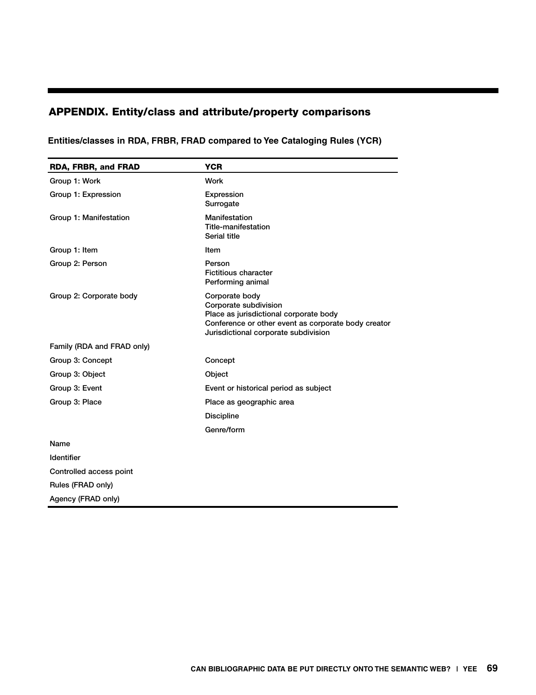# Appendix. Entity/class and attribute/property comparisons

**Entities/classes in RDA, FRBR, FRAD compared to Yee Cataloging Rules (YCR)**

| RDA, FRBR, and FRAD        | <b>YCR</b>                                                                                                                                                                       |
|----------------------------|----------------------------------------------------------------------------------------------------------------------------------------------------------------------------------|
| Group 1: Work              | Work                                                                                                                                                                             |
| Group 1: Expression        | Expression<br>Surrogate                                                                                                                                                          |
| Group 1: Manifestation     | Manifestation<br><b>Title-manifestation</b><br>Serial title                                                                                                                      |
| Group 1: Item              | Item                                                                                                                                                                             |
| Group 2: Person            | Person<br><b>Fictitious character</b><br>Performing animal                                                                                                                       |
| Group 2: Corporate body    | Corporate body<br>Corporate subdivision<br>Place as jurisdictional corporate body<br>Conference or other event as corporate body creator<br>Jurisdictional corporate subdivision |
| Family (RDA and FRAD only) |                                                                                                                                                                                  |
| Group 3: Concept           | Concept                                                                                                                                                                          |
| Group 3: Object            | Object                                                                                                                                                                           |
| Group 3: Event             | Event or historical period as subject                                                                                                                                            |
| Group 3: Place             | Place as geographic area                                                                                                                                                         |
|                            | <b>Discipline</b>                                                                                                                                                                |
|                            | Genre/form                                                                                                                                                                       |
| Name                       |                                                                                                                                                                                  |
| Identifier                 |                                                                                                                                                                                  |
| Controlled access point    |                                                                                                                                                                                  |
| Rules (FRAD only)          |                                                                                                                                                                                  |
| Agency (FRAD only)         |                                                                                                                                                                                  |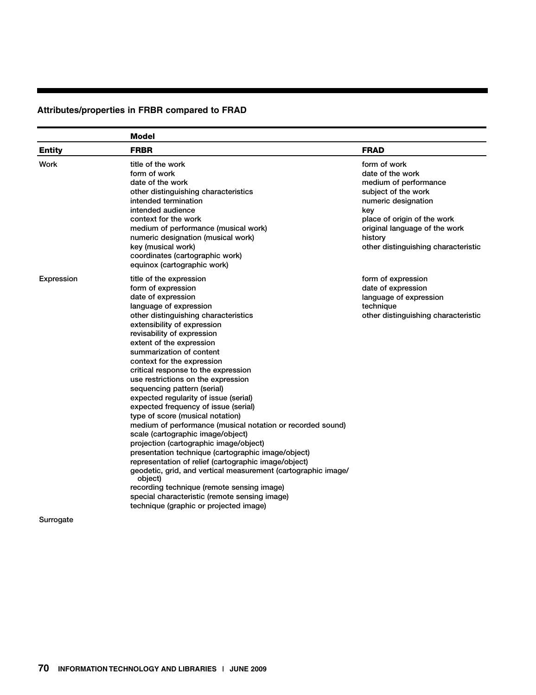#### **Attributes/properties in FRBR compared to FRAD**

|               | <b>Model</b>                                                                                                                                                                                                                                                                                                                                                                                                                                                                                                                                                                                                                                                                                                                                                                                                                                                                                                                                                                                              |                                                                                                                                                                                                                                  |
|---------------|-----------------------------------------------------------------------------------------------------------------------------------------------------------------------------------------------------------------------------------------------------------------------------------------------------------------------------------------------------------------------------------------------------------------------------------------------------------------------------------------------------------------------------------------------------------------------------------------------------------------------------------------------------------------------------------------------------------------------------------------------------------------------------------------------------------------------------------------------------------------------------------------------------------------------------------------------------------------------------------------------------------|----------------------------------------------------------------------------------------------------------------------------------------------------------------------------------------------------------------------------------|
| <b>Entity</b> | <b>FRBR</b>                                                                                                                                                                                                                                                                                                                                                                                                                                                                                                                                                                                                                                                                                                                                                                                                                                                                                                                                                                                               | <b>FRAD</b>                                                                                                                                                                                                                      |
| <b>Work</b>   | title of the work<br>form of work<br>date of the work<br>other distinguishing characteristics<br>intended termination<br>intended audience<br>context for the work<br>medium of performance (musical work)<br>numeric designation (musical work)<br>key (musical work)<br>coordinates (cartographic work)<br>equinox (cartographic work)                                                                                                                                                                                                                                                                                                                                                                                                                                                                                                                                                                                                                                                                  | form of work<br>date of the work<br>medium of performance<br>subject of the work<br>numeric designation<br>key<br>place of origin of the work<br>original language of the work<br>history<br>other distinguishing characteristic |
| Expression    | title of the expression<br>form of expression<br>date of expression<br>language of expression<br>other distinguishing characteristics<br>extensibility of expression<br>revisability of expression<br>extent of the expression<br>summarization of content<br>context for the expression<br>critical response to the expression<br>use restrictions on the expression<br>sequencing pattern (serial)<br>expected regularity of issue (serial)<br>expected frequency of issue (serial)<br>type of score (musical notation)<br>medium of performance (musical notation or recorded sound)<br>scale (cartographic image/object)<br>projection (cartographic image/object)<br>presentation technique (cartographic image/object)<br>representation of relief (cartographic image/object)<br>geodetic, grid, and vertical measurement (cartographic image/<br>object)<br>recording technique (remote sensing image)<br>special characteristic (remote sensing image)<br>technique (graphic or projected image) | form of expression<br>date of expression<br>language of expression<br>technique<br>other distinguishing characteristic                                                                                                           |
| $\sim$        |                                                                                                                                                                                                                                                                                                                                                                                                                                                                                                                                                                                                                                                                                                                                                                                                                                                                                                                                                                                                           |                                                                                                                                                                                                                                  |

Surrogate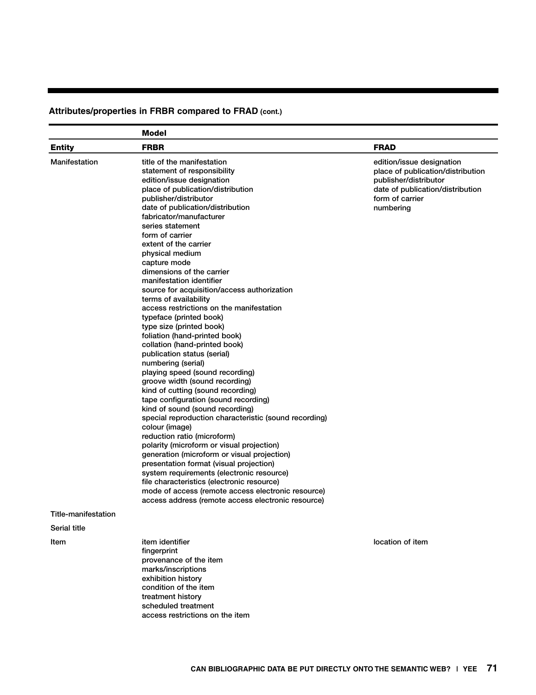|                     | <b>Model</b>                                                                                                                                                                                                                                                                                                                                                                                                                                                                                                                                                                                                                                                                                                                                                                                                                                                                                                                                                                                                                                                                                                                                                                                                                                                                                                                        |                  |
|---------------------|-------------------------------------------------------------------------------------------------------------------------------------------------------------------------------------------------------------------------------------------------------------------------------------------------------------------------------------------------------------------------------------------------------------------------------------------------------------------------------------------------------------------------------------------------------------------------------------------------------------------------------------------------------------------------------------------------------------------------------------------------------------------------------------------------------------------------------------------------------------------------------------------------------------------------------------------------------------------------------------------------------------------------------------------------------------------------------------------------------------------------------------------------------------------------------------------------------------------------------------------------------------------------------------------------------------------------------------|------------------|
| <b>Entity</b>       | <b>FRBR</b>                                                                                                                                                                                                                                                                                                                                                                                                                                                                                                                                                                                                                                                                                                                                                                                                                                                                                                                                                                                                                                                                                                                                                                                                                                                                                                                         | <b>FRAD</b>      |
| Manifestation       | title of the manifestation<br>edition/issue designation<br>statement of responsibility<br>place of publication/distribution<br>edition/issue designation<br>publisher/distributor<br>place of publication/distribution<br>date of publication/distribution<br>publisher/distributor<br>form of carrier<br>date of publication/distribution<br>numbering<br>fabricator/manufacturer<br>series statement<br>form of carrier<br>extent of the carrier<br>physical medium<br>capture mode<br>dimensions of the carrier<br>manifestation identifier<br>source for acquisition/access authorization<br>terms of availability<br>access restrictions on the manifestation<br>typeface (printed book)<br>type size (printed book)<br>foliation (hand-printed book)<br>collation (hand-printed book)<br>publication status (serial)<br>numbering (serial)<br>playing speed (sound recording)<br>groove width (sound recording)<br>kind of cutting (sound recording)<br>tape configuration (sound recording)<br>kind of sound (sound recording)<br>special reproduction characteristic (sound recording)<br>colour (image)<br>reduction ratio (microform)<br>polarity (microform or visual projection)<br>generation (microform or visual projection)<br>presentation format (visual projection)<br>system requirements (electronic resource) |                  |
|                     | access address (remote access electronic resource)                                                                                                                                                                                                                                                                                                                                                                                                                                                                                                                                                                                                                                                                                                                                                                                                                                                                                                                                                                                                                                                                                                                                                                                                                                                                                  |                  |
| Title-manifestation |                                                                                                                                                                                                                                                                                                                                                                                                                                                                                                                                                                                                                                                                                                                                                                                                                                                                                                                                                                                                                                                                                                                                                                                                                                                                                                                                     |                  |
| <b>Serial title</b> |                                                                                                                                                                                                                                                                                                                                                                                                                                                                                                                                                                                                                                                                                                                                                                                                                                                                                                                                                                                                                                                                                                                                                                                                                                                                                                                                     |                  |
| Item                | item identifier<br>fingerprint<br>provenance of the item<br>marks/inscriptions<br>exhibition history<br>condition of the item<br>treatment history<br>scheduled treatment<br>access restrictions on the item                                                                                                                                                                                                                                                                                                                                                                                                                                                                                                                                                                                                                                                                                                                                                                                                                                                                                                                                                                                                                                                                                                                        | location of item |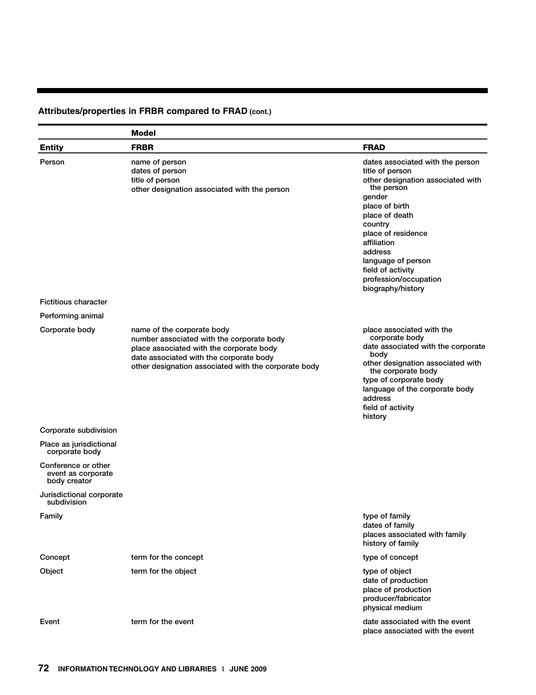|                                                                                                                | Model                                                                                                                                                                                                                  |                                                                                                                                                                                                                                                                                                          |
|----------------------------------------------------------------------------------------------------------------|------------------------------------------------------------------------------------------------------------------------------------------------------------------------------------------------------------------------|----------------------------------------------------------------------------------------------------------------------------------------------------------------------------------------------------------------------------------------------------------------------------------------------------------|
| <b>Entity</b>                                                                                                  | <b>FRBR</b>                                                                                                                                                                                                            | <b>FRAD</b>                                                                                                                                                                                                                                                                                              |
| Person<br>name of person<br>dates of person<br>title of person<br>other designation associated with the person |                                                                                                                                                                                                                        | dates associated with the person<br>title of person<br>other designation associated with<br>the person<br>gender<br>place of birth<br>place of death<br>country<br>place of residence<br>affiliation<br>address<br>language of person<br>field of activity<br>profession/occupation<br>biography/history |
| <b>Fictitious character</b>                                                                                    |                                                                                                                                                                                                                        |                                                                                                                                                                                                                                                                                                          |
| Performing animal                                                                                              |                                                                                                                                                                                                                        |                                                                                                                                                                                                                                                                                                          |
| Corporate body                                                                                                 | name of the corporate body<br>number associated with the corporate body<br>place associated with the corporate body<br>date associated with the corporate body<br>other designation associated with the corporate body | place associated with the<br>corporate body<br>date associated with the corporate<br>body<br>other designation associated with<br>the corporate body<br>type of corporate body<br>language of the corporate body<br>address<br>field of activity<br>history                                              |
| Corporate subdivision                                                                                          |                                                                                                                                                                                                                        |                                                                                                                                                                                                                                                                                                          |
| Place as jurisdictional<br>corporate body                                                                      |                                                                                                                                                                                                                        |                                                                                                                                                                                                                                                                                                          |
| Conference or other<br>event as corporate<br>body creator                                                      |                                                                                                                                                                                                                        |                                                                                                                                                                                                                                                                                                          |
| Jurisdictional corporate<br>subdivision                                                                        |                                                                                                                                                                                                                        |                                                                                                                                                                                                                                                                                                          |
| Family                                                                                                         |                                                                                                                                                                                                                        | type of family<br>dates of family<br>places associated with family<br>history of family                                                                                                                                                                                                                  |
| Concept                                                                                                        | term for the concept                                                                                                                                                                                                   | type of concept                                                                                                                                                                                                                                                                                          |
| Object                                                                                                         | term for the object                                                                                                                                                                                                    | type of object<br>date of production<br>place of production<br>producer/fabricator<br>physical medium                                                                                                                                                                                                    |
| Event                                                                                                          | term for the event                                                                                                                                                                                                     | date associated with the event<br>place associated with the event                                                                                                                                                                                                                                        |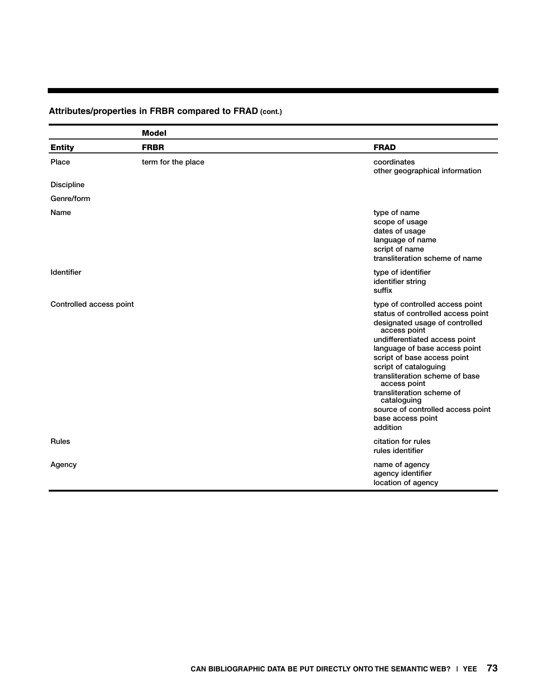| Attributes/properties in FRBR compared to FRAD (cont.) |  |  |  |  |  |  |
|--------------------------------------------------------|--|--|--|--|--|--|
|--------------------------------------------------------|--|--|--|--|--|--|

|                         | <b>Model</b>       |                                                                                                                                                                                                                                                                                                                                                                                                                      |
|-------------------------|--------------------|----------------------------------------------------------------------------------------------------------------------------------------------------------------------------------------------------------------------------------------------------------------------------------------------------------------------------------------------------------------------------------------------------------------------|
| <b>Entity</b>           | <b>FRBR</b>        | <b>FRAD</b>                                                                                                                                                                                                                                                                                                                                                                                                          |
| Place                   | term for the place | coordinates<br>other geographical information                                                                                                                                                                                                                                                                                                                                                                        |
| <b>Discipline</b>       |                    |                                                                                                                                                                                                                                                                                                                                                                                                                      |
| Genre/form              |                    |                                                                                                                                                                                                                                                                                                                                                                                                                      |
| Name                    |                    | type of name<br>scope of usage<br>dates of usage<br>language of name<br>script of name<br>transliteration scheme of name                                                                                                                                                                                                                                                                                             |
| Identifier              |                    | type of identifier<br>identifier string<br>suffix                                                                                                                                                                                                                                                                                                                                                                    |
| Controlled access point |                    | type of controlled access point<br>status of controlled access point<br>designated usage of controlled<br>access point<br>undifferentiated access point<br>language of base access point<br>script of base access point<br>script of cataloguing<br>transliteration scheme of base<br>access point<br>transliteration scheme of<br>cataloguing<br>source of controlled access point<br>base access point<br>addition |
| <b>Rules</b>            |                    | citation for rules<br>rules identifier                                                                                                                                                                                                                                                                                                                                                                               |
| Agency                  |                    | name of agency<br>agency identifier<br>location of agency                                                                                                                                                                                                                                                                                                                                                            |

ī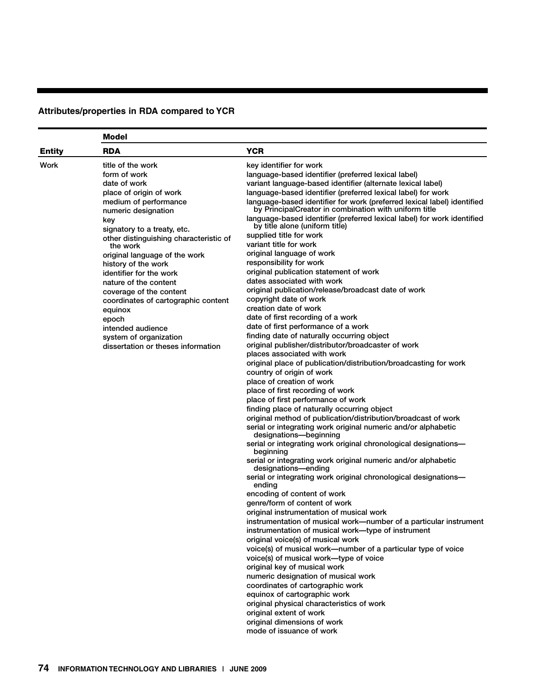|               | <b>Model</b>                                 |                                                                                                                                  |  |  |  |  |
|---------------|----------------------------------------------|----------------------------------------------------------------------------------------------------------------------------------|--|--|--|--|
| <b>Entity</b> | <b>RDA</b>                                   | <b>YCR</b>                                                                                                                       |  |  |  |  |
| Work          | title of the work                            | key identifier for work                                                                                                          |  |  |  |  |
|               | form of work                                 | language-based identifier (preferred lexical label)                                                                              |  |  |  |  |
|               | date of work                                 | variant language-based identifier (alternate lexical label)                                                                      |  |  |  |  |
|               | place of origin of work                      | language-based identifier (preferred lexical label) for work                                                                     |  |  |  |  |
|               | medium of performance<br>numeric designation | language-based identifier for work (preferred lexical label) identified<br>by PrincipalCreator in combination with uniform title |  |  |  |  |
|               | key<br>signatory to a treaty, etc.           | language-based identifier (preferred lexical label) for work identified<br>by title alone (uniform title)                        |  |  |  |  |
|               | other distinguishing characteristic of       | supplied title for work                                                                                                          |  |  |  |  |
|               | the work                                     | variant title for work                                                                                                           |  |  |  |  |
|               | original language of the work                | original language of work                                                                                                        |  |  |  |  |
|               | history of the work                          | responsibility for work                                                                                                          |  |  |  |  |
|               | identifier for the work                      | original publication statement of work                                                                                           |  |  |  |  |
|               | nature of the content                        | dates associated with work                                                                                                       |  |  |  |  |
|               | coverage of the content                      | original publication/release/broadcast date of work                                                                              |  |  |  |  |
|               | coordinates of cartographic content          | copyright date of work                                                                                                           |  |  |  |  |
|               | equinox                                      | creation date of work                                                                                                            |  |  |  |  |
|               | epoch                                        | date of first recording of a work                                                                                                |  |  |  |  |
|               | intended audience                            | date of first performance of a work                                                                                              |  |  |  |  |
|               | system of organization                       | finding date of naturally occurring object                                                                                       |  |  |  |  |
|               | dissertation or theses information           | original publisher/distributor/broadcaster of work                                                                               |  |  |  |  |
|               |                                              | places associated with work                                                                                                      |  |  |  |  |
|               |                                              | original place of publication/distribution/broadcasting for work                                                                 |  |  |  |  |
|               |                                              | country of origin of work                                                                                                        |  |  |  |  |
|               |                                              | place of creation of work                                                                                                        |  |  |  |  |
|               |                                              | place of first recording of work                                                                                                 |  |  |  |  |
|               |                                              | place of first performance of work                                                                                               |  |  |  |  |
|               |                                              | finding place of naturally occurring object                                                                                      |  |  |  |  |
|               |                                              | original method of publication/distribution/broadcast of work                                                                    |  |  |  |  |
|               |                                              | serial or integrating work original numeric and/or alphabetic<br>designations-beginning                                          |  |  |  |  |
|               |                                              | serial or integrating work original chronological designations-<br>beginning                                                     |  |  |  |  |
|               |                                              | serial or integrating work original numeric and/or alphabetic<br>designations—ending                                             |  |  |  |  |
|               |                                              | serial or integrating work original chronological designations-<br>ending                                                        |  |  |  |  |
|               |                                              | encoding of content of work                                                                                                      |  |  |  |  |
|               |                                              | genre/form of content of work                                                                                                    |  |  |  |  |
|               |                                              | original instrumentation of musical work                                                                                         |  |  |  |  |
|               |                                              | instrumentation of musical work—number of a particular instrument                                                                |  |  |  |  |
|               |                                              | instrumentation of musical work-type of instrument                                                                               |  |  |  |  |
|               |                                              | original voice(s) of musical work                                                                                                |  |  |  |  |
|               |                                              | voice(s) of musical work-number of a particular type of voice                                                                    |  |  |  |  |
|               |                                              | voice(s) of musical work-type of voice                                                                                           |  |  |  |  |
|               |                                              | original key of musical work                                                                                                     |  |  |  |  |
|               |                                              | numeric designation of musical work                                                                                              |  |  |  |  |
|               |                                              | coordinates of cartographic work                                                                                                 |  |  |  |  |
|               |                                              | equinox of cartographic work                                                                                                     |  |  |  |  |
|               |                                              | original physical characteristics of work                                                                                        |  |  |  |  |
|               |                                              | original extent of work                                                                                                          |  |  |  |  |
|               |                                              | original dimensions of work                                                                                                      |  |  |  |  |
|               |                                              | mode of issuance of work                                                                                                         |  |  |  |  |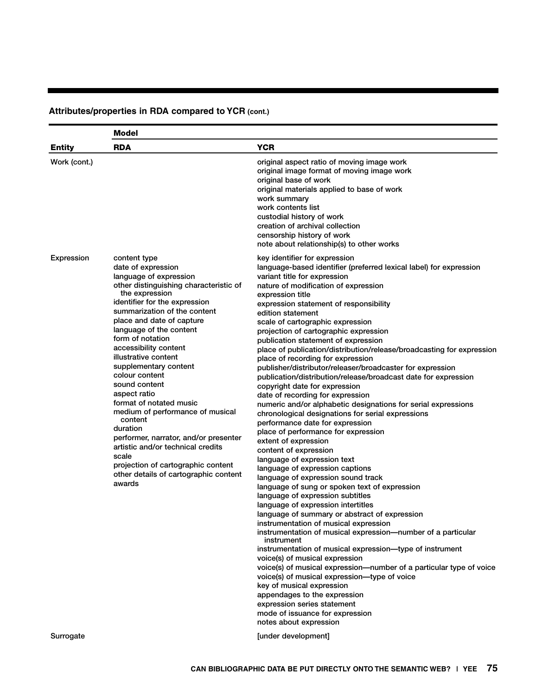|               | <b>Model</b>                                                                                                                                                                                                                                                                                                                                                                                                                                                                                                                                                                                                                                                             |                                                                                                                                                                                                                                                                                                                                                                                                                                                                                                                                                                                                                                                                                                                                                                                                                                                                                                                                                                                                                                                                                                                                                                                                                                                                                                                                                                                                                                                                                                                                                                                                                                                                                                                                                |  |  |  |
|---------------|--------------------------------------------------------------------------------------------------------------------------------------------------------------------------------------------------------------------------------------------------------------------------------------------------------------------------------------------------------------------------------------------------------------------------------------------------------------------------------------------------------------------------------------------------------------------------------------------------------------------------------------------------------------------------|------------------------------------------------------------------------------------------------------------------------------------------------------------------------------------------------------------------------------------------------------------------------------------------------------------------------------------------------------------------------------------------------------------------------------------------------------------------------------------------------------------------------------------------------------------------------------------------------------------------------------------------------------------------------------------------------------------------------------------------------------------------------------------------------------------------------------------------------------------------------------------------------------------------------------------------------------------------------------------------------------------------------------------------------------------------------------------------------------------------------------------------------------------------------------------------------------------------------------------------------------------------------------------------------------------------------------------------------------------------------------------------------------------------------------------------------------------------------------------------------------------------------------------------------------------------------------------------------------------------------------------------------------------------------------------------------------------------------------------------------|--|--|--|
| <b>Entity</b> | <b>RDA</b>                                                                                                                                                                                                                                                                                                                                                                                                                                                                                                                                                                                                                                                               | <b>YCR</b>                                                                                                                                                                                                                                                                                                                                                                                                                                                                                                                                                                                                                                                                                                                                                                                                                                                                                                                                                                                                                                                                                                                                                                                                                                                                                                                                                                                                                                                                                                                                                                                                                                                                                                                                     |  |  |  |
| Work (cont.)  |                                                                                                                                                                                                                                                                                                                                                                                                                                                                                                                                                                                                                                                                          | original aspect ratio of moving image work<br>original image format of moving image work<br>original base of work<br>original materials applied to base of work<br>work summary<br>work contents list<br>custodial history of work<br>creation of archival collection<br>censorship history of work<br>note about relationship(s) to other works                                                                                                                                                                                                                                                                                                                                                                                                                                                                                                                                                                                                                                                                                                                                                                                                                                                                                                                                                                                                                                                                                                                                                                                                                                                                                                                                                                                               |  |  |  |
| Expression    | content type<br>date of expression<br>language of expression<br>other distinguishing characteristic of<br>the expression<br>identifier for the expression<br>summarization of the content<br>place and date of capture<br>language of the content<br>form of notation<br>accessibility content<br>illustrative content<br>supplementary content<br>colour content<br>sound content<br>aspect ratio<br>format of notated music<br>medium of performance of musical<br>content<br>duration<br>performer, narrator, and/or presenter<br>artistic and/or technical credits<br>scale<br>projection of cartographic content<br>other details of cartographic content<br>awards | key identifier for expression<br>language-based identifier (preferred lexical label) for expression<br>variant title for expression<br>nature of modification of expression<br>expression title<br>expression statement of responsibility<br>edition statement<br>scale of cartographic expression<br>projection of cartographic expression<br>publication statement of expression<br>place of publication/distribution/release/broadcasting for expression<br>place of recording for expression<br>publisher/distributor/releaser/broadcaster for expression<br>publication/distribution/release/broadcast date for expression<br>copyright date for expression<br>date of recording for expression<br>numeric and/or alphabetic designations for serial expressions<br>chronological designations for serial expressions<br>performance date for expression<br>place of performance for expression<br>extent of expression<br>content of expression<br>language of expression text<br>language of expression captions<br>language of expression sound track<br>language of sung or spoken text of expression<br>language of expression subtitles<br>language of expression intertitles<br>language of summary or abstract of expression<br>instrumentation of musical expression<br>instrumentation of musical expression—number of a particular<br>instrument<br>instrumentation of musical expression-type of instrument<br>voice(s) of musical expression<br>voice(s) of musical expression—number of a particular type of voice<br>voice(s) of musical expression-type of voice<br>key of musical expression<br>appendages to the expression<br>expression series statement<br>mode of issuance for expression<br>notes about expression |  |  |  |
| Surrogate     |                                                                                                                                                                                                                                                                                                                                                                                                                                                                                                                                                                                                                                                                          | [under development]                                                                                                                                                                                                                                                                                                                                                                                                                                                                                                                                                                                                                                                                                                                                                                                                                                                                                                                                                                                                                                                                                                                                                                                                                                                                                                                                                                                                                                                                                                                                                                                                                                                                                                                            |  |  |  |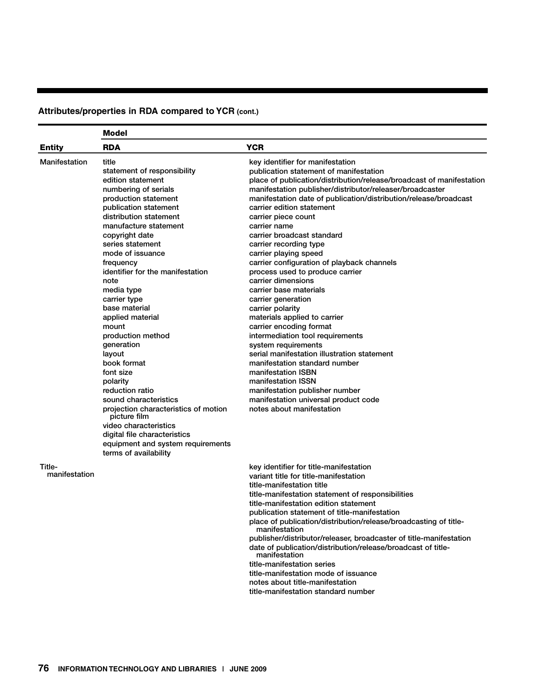|               | <b>Model</b>                                               |                                                                                   |
|---------------|------------------------------------------------------------|-----------------------------------------------------------------------------------|
| <b>Entity</b> | <b>RDA</b>                                                 | <b>YCR</b>                                                                        |
| Manifestation | title                                                      | key identifier for manifestation                                                  |
|               | statement of responsibility                                | publication statement of manifestation                                            |
|               | edition statement                                          | place of publication/distribution/release/broadcast of manifestation              |
|               | numbering of serials                                       | manifestation publisher/distributor/releaser/broadcaster                          |
|               | production statement                                       | manifestation date of publication/distribution/release/broadcast                  |
|               | publication statement                                      | carrier edition statement                                                         |
|               | distribution statement                                     | carrier piece count                                                               |
|               | manufacture statement                                      | carrier name                                                                      |
|               | copyright date                                             | carrier broadcast standard                                                        |
|               | series statement                                           | carrier recording type                                                            |
|               | mode of issuance                                           | carrier playing speed                                                             |
|               | frequency                                                  | carrier configuration of playback channels                                        |
|               | identifier for the manifestation                           | process used to produce carrier                                                   |
|               | note                                                       | carrier dimensions                                                                |
|               | media type                                                 | carrier base materials                                                            |
|               | carrier type                                               | carrier generation                                                                |
|               | base material                                              | carrier polarity                                                                  |
|               | applied material                                           | materials applied to carrier                                                      |
|               | mount                                                      | carrier encoding format                                                           |
|               | production method                                          | intermediation tool requirements                                                  |
|               | generation                                                 | system requirements<br>serial manifestation illustration statement                |
|               | layout<br>book format                                      | manifestation standard number                                                     |
|               | font size                                                  | manifestation ISBN                                                                |
|               | polarity                                                   | manifestation ISSN                                                                |
|               | reduction ratio                                            | manifestation publisher number                                                    |
|               | sound characteristics                                      | manifestation universal product code                                              |
|               | projection characteristics of motion<br>picture film       | notes about manifestation                                                         |
|               | video characteristics                                      |                                                                                   |
|               | digital file characteristics                               |                                                                                   |
|               | equipment and system requirements<br>terms of availability |                                                                                   |
| Title-        |                                                            | key identifier for title-manifestation                                            |
| manifestation |                                                            | variant title for title-manifestation                                             |
|               |                                                            | title-manifestation title                                                         |
|               |                                                            | title-manifestation statement of responsibilities                                 |
|               |                                                            | title-manifestation edition statement                                             |
|               |                                                            | publication statement of title-manifestation                                      |
|               |                                                            | place of publication/distribution/release/broadcasting of title-<br>manifestation |
|               |                                                            | publisher/distributor/releaser, broadcaster of title-manifestation                |
|               |                                                            | date of publication/distribution/release/broadcast of title-<br>manifestation     |
|               |                                                            | title-manifestation series                                                        |
|               |                                                            | title-manifestation mode of issuance                                              |
|               |                                                            | notes about title-manifestation                                                   |
|               |                                                            | title-manifestation standard number                                               |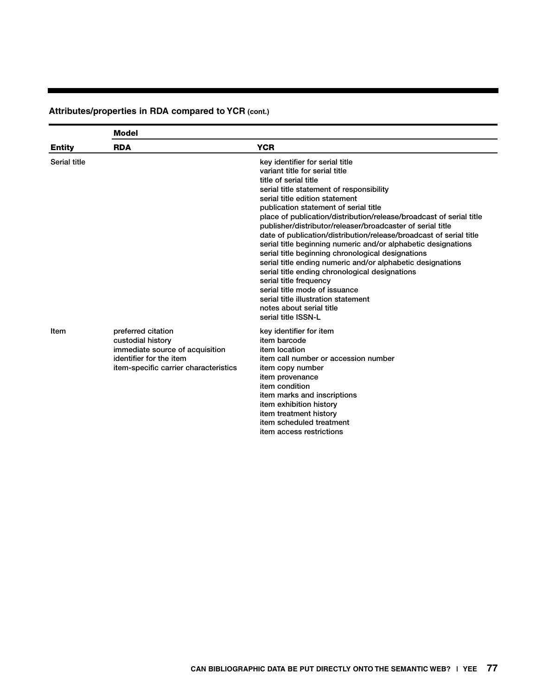|               | <b>Model</b>                                                                                                                                   |                                                                                                                                                                                                                                                                                                                                                                                                                                                                                                                                                                                                                                                                                                                                                                                                                         |  |  |  |
|---------------|------------------------------------------------------------------------------------------------------------------------------------------------|-------------------------------------------------------------------------------------------------------------------------------------------------------------------------------------------------------------------------------------------------------------------------------------------------------------------------------------------------------------------------------------------------------------------------------------------------------------------------------------------------------------------------------------------------------------------------------------------------------------------------------------------------------------------------------------------------------------------------------------------------------------------------------------------------------------------------|--|--|--|
| <b>Entity</b> | <b>RDA</b>                                                                                                                                     | <b>YCR</b>                                                                                                                                                                                                                                                                                                                                                                                                                                                                                                                                                                                                                                                                                                                                                                                                              |  |  |  |
| Serial title  |                                                                                                                                                | key identifier for serial title<br>variant title for serial title<br>title of serial title<br>serial title statement of responsibility<br>serial title edition statement<br>publication statement of serial title<br>place of publication/distribution/release/broadcast of serial title<br>publisher/distributor/releaser/broadcaster of serial title<br>date of publication/distribution/release/broadcast of serial title<br>serial title beginning numeric and/or alphabetic designations<br>serial title beginning chronological designations<br>serial title ending numeric and/or alphabetic designations<br>serial title ending chronological designations<br>serial title frequency<br>serial title mode of issuance<br>serial title illustration statement<br>notes about serial title<br>serial title ISSN-L |  |  |  |
| Item          | preferred citation<br>custodial history<br>immediate source of acquisition<br>identifier for the item<br>item-specific carrier characteristics | key identifier for item<br>item barcode<br>item location<br>item call number or accession number<br>item copy number<br>item provenance<br>item condition<br>item marks and inscriptions<br>item exhibition history<br>item treatment history<br>item scheduled treatment<br>item access restrictions                                                                                                                                                                                                                                                                                                                                                                                                                                                                                                                   |  |  |  |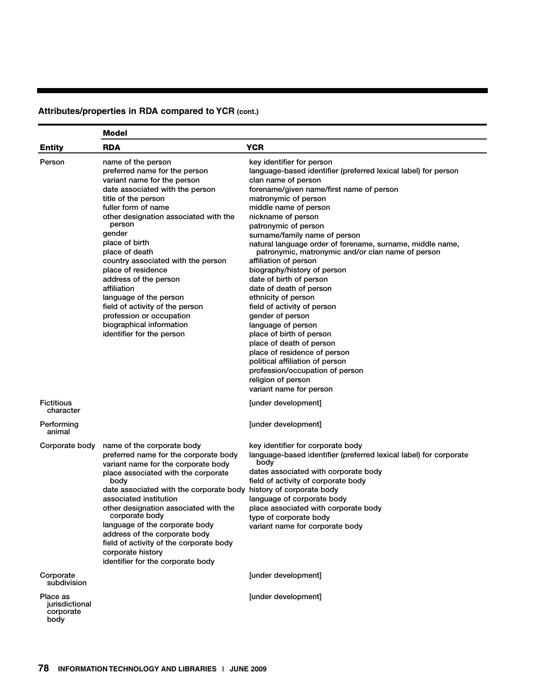|                                                 | Model                                                                                                                                                                                                                                                                                                                                                                                                                                                                                         |                                                                                                                                                                                                                                                                                                                                                                                                                                                                                                                                                                                                                                |  |
|-------------------------------------------------|-----------------------------------------------------------------------------------------------------------------------------------------------------------------------------------------------------------------------------------------------------------------------------------------------------------------------------------------------------------------------------------------------------------------------------------------------------------------------------------------------|--------------------------------------------------------------------------------------------------------------------------------------------------------------------------------------------------------------------------------------------------------------------------------------------------------------------------------------------------------------------------------------------------------------------------------------------------------------------------------------------------------------------------------------------------------------------------------------------------------------------------------|--|
| <b>Entity</b>                                   | <b>RDA</b>                                                                                                                                                                                                                                                                                                                                                                                                                                                                                    | <b>YCR</b>                                                                                                                                                                                                                                                                                                                                                                                                                                                                                                                                                                                                                     |  |
| Person                                          | name of the person<br>preferred name for the person<br>variant name for the person<br>date associated with the person<br>title of the person<br>fuller form of name<br>other designation associated with the<br>person<br>gender<br>place of birth<br>place of death<br>country associated with the person<br>place of residence<br>address of the person<br>affiliation<br>language of the person<br>field of activity of the person<br>profession or occupation<br>biographical information | key identifier for person<br>language-based identifier (preferred lexical label) for person<br>clan name of person<br>forename/given name/first name of person<br>matronymic of person<br>middle name of person<br>nickname of person<br>patronymic of person<br>surname/family name of person<br>natural language order of forename, surname, middle name,<br>patronymic, matronymic and/or clan name of person<br>affiliation of person<br>biography/history of person<br>date of birth of person<br>date of death of person<br>ethnicity of person<br>field of activity of person<br>gender of person<br>language of person |  |
| Fictitious                                      | identifier for the person                                                                                                                                                                                                                                                                                                                                                                                                                                                                     | place of birth of person<br>place of death of person<br>place of residence of person<br>political affiliation of person<br>profession/occupation of person<br>religion of person<br>variant name for person<br>[under development]                                                                                                                                                                                                                                                                                                                                                                                             |  |
| character<br>Performing<br>animal               |                                                                                                                                                                                                                                                                                                                                                                                                                                                                                               | [under development]                                                                                                                                                                                                                                                                                                                                                                                                                                                                                                                                                                                                            |  |
| Corporate body                                  | name of the corporate body<br>preferred name for the corporate body<br>variant name for the corporate body<br>place associated with the corporate<br>body<br>date associated with the corporate body<br>associated institution<br>other designation associated with the<br>corporate body<br>language of the corporate body<br>address of the corporate body<br>field of activity of the corporate body<br>corporate history<br>identifier for the corporate body                             | key identifier for corporate body<br>language-based identifier (preferred lexical label) for corporate<br>body<br>dates associated with corporate body<br>field of activity of corporate body<br>history of corporate body<br>language of corporate body<br>place associated with corporate body<br>type of corporate body<br>variant name for corporate body                                                                                                                                                                                                                                                                  |  |
| Corporate<br>subdivision                        |                                                                                                                                                                                                                                                                                                                                                                                                                                                                                               | [under development]                                                                                                                                                                                                                                                                                                                                                                                                                                                                                                                                                                                                            |  |
| Place as<br>jurisdictional<br>corporate<br>body |                                                                                                                                                                                                                                                                                                                                                                                                                                                                                               | [under development]                                                                                                                                                                                                                                                                                                                                                                                                                                                                                                                                                                                                            |  |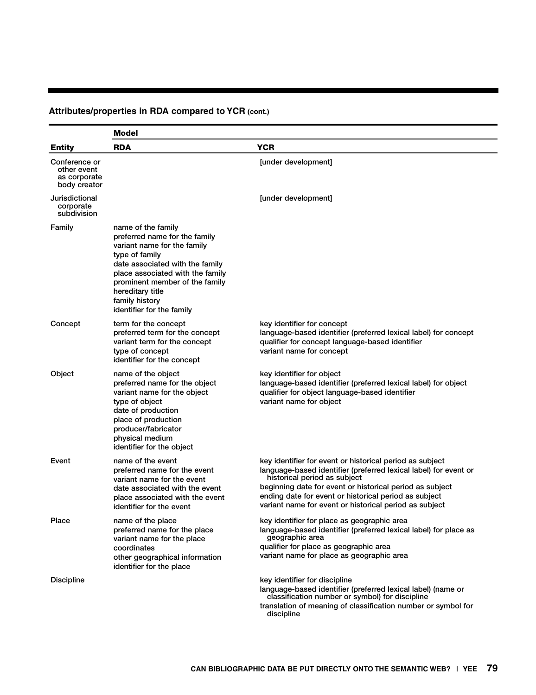|                                                              | <b>Model</b>                                                                                                                                                                                                                                                                     |                                                                                                                                                                                                                                                                                                                                             |  |
|--------------------------------------------------------------|----------------------------------------------------------------------------------------------------------------------------------------------------------------------------------------------------------------------------------------------------------------------------------|---------------------------------------------------------------------------------------------------------------------------------------------------------------------------------------------------------------------------------------------------------------------------------------------------------------------------------------------|--|
| <b>Entity</b>                                                | <b>RDA</b>                                                                                                                                                                                                                                                                       | <b>YCR</b>                                                                                                                                                                                                                                                                                                                                  |  |
| Conference or<br>other event<br>as corporate<br>body creator |                                                                                                                                                                                                                                                                                  | [under development]                                                                                                                                                                                                                                                                                                                         |  |
| Jurisdictional<br>corporate<br>subdivision                   |                                                                                                                                                                                                                                                                                  | [under development]                                                                                                                                                                                                                                                                                                                         |  |
| Family                                                       | name of the family<br>preferred name for the family<br>variant name for the family<br>type of family<br>date associated with the family<br>place associated with the family<br>prominent member of the family<br>hereditary title<br>family history<br>identifier for the family |                                                                                                                                                                                                                                                                                                                                             |  |
| Concept                                                      | term for the concept<br>preferred term for the concept<br>variant term for the concept<br>type of concept<br>identifier for the concept                                                                                                                                          | key identifier for concept<br>language-based identifier (preferred lexical label) for concept<br>qualifier for concept language-based identifier<br>variant name for concept                                                                                                                                                                |  |
| Object                                                       | name of the object<br>preferred name for the object<br>variant name for the object<br>type of object<br>date of production<br>place of production<br>producer/fabricator<br>physical medium<br>identifier for the object                                                         | key identifier for object<br>language-based identifier (preferred lexical label) for object<br>qualifier for object language-based identifier<br>variant name for object                                                                                                                                                                    |  |
| Event                                                        | name of the event<br>preferred name for the event<br>variant name for the event<br>date associated with the event<br>place associated with the event<br>identifier for the event                                                                                                 | key identifier for event or historical period as subject<br>language-based identifier (preferred lexical label) for event or<br>historical period as subject<br>beginning date for event or historical period as subject<br>ending date for event or historical period as subject<br>variant name for event or historical period as subject |  |
| Place                                                        | name of the place<br>preferred name for the place<br>variant name for the place<br>coordinates<br>other geographical information<br>identifier for the place                                                                                                                     | key identifier for place as geographic area<br>language-based identifier (preferred lexical label) for place as<br>geographic area<br>qualifier for place as geographic area<br>variant name for place as geographic area                                                                                                                   |  |
| <b>Discipline</b>                                            |                                                                                                                                                                                                                                                                                  | key identifier for discipline<br>language-based identifier (preferred lexical label) (name or<br>classification number or symbol) for discipline<br>translation of meaning of classification number or symbol for<br>discipline                                                                                                             |  |